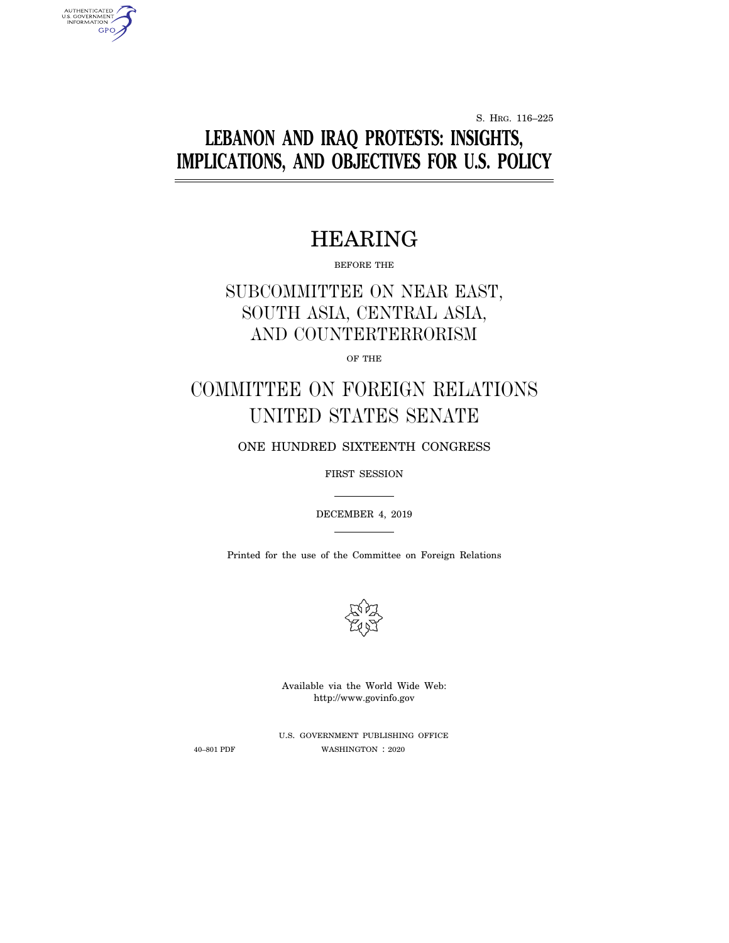S. HRG. 116–225

# **LEBANON AND IRAQ PROTESTS: INSIGHTS, IMPLICATIONS, AND OBJECTIVES FOR U.S. POLICY**

# HEARING

BEFORE THE

## SUBCOMMITTEE ON NEAR EAST, SOUTH ASIA, CENTRAL ASIA, AND COUNTERTERRORISM

OF THE

# COMMITTEE ON FOREIGN RELATIONS UNITED STATES SENATE

ONE HUNDRED SIXTEENTH CONGRESS

FIRST SESSION

DECEMBER 4, 2019

Printed for the use of the Committee on Foreign Relations



Available via the World Wide Web: http://www.govinfo.gov

AUTHENTICATED<br>U.S. GOVERNMENT<br>INFORMATION GPO

> U.S. GOVERNMENT PUBLISHING OFFICE 40–801 PDF WASHINGTON : 2020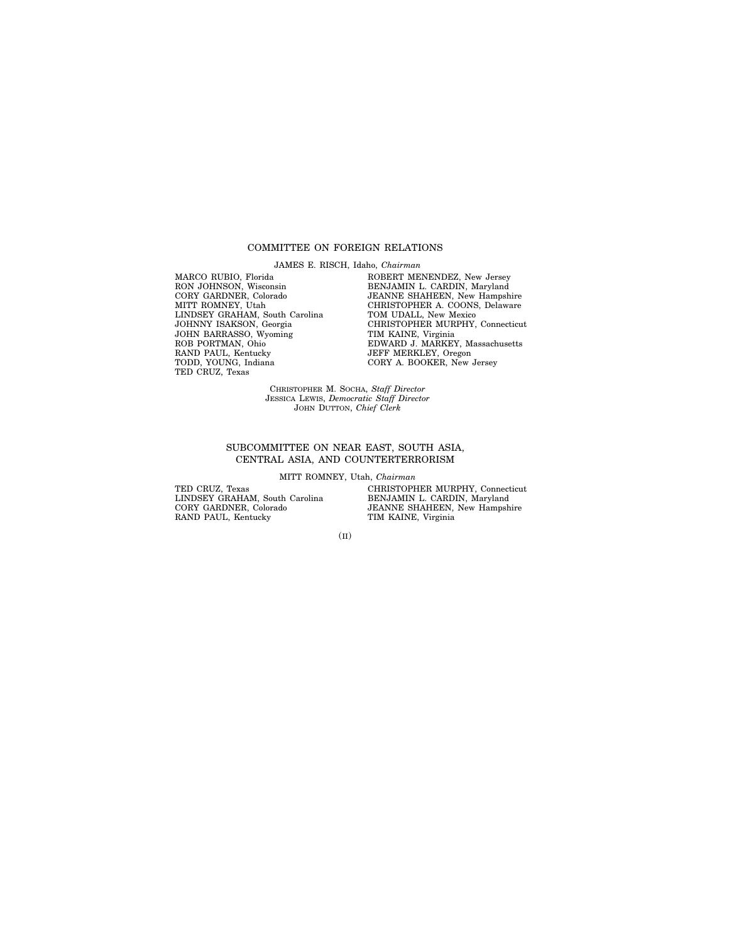#### COMMITTEE ON FOREIGN RELATIONS

JAMES E. RISCH, Idaho, *Chairman*

MARCO RUBIO, Florida RON JOHNSON, Wisconsin CORY GARDNER, Colorado MITT ROMNEY, Utah LINDSEY GRAHAM, South Carolina JOHNNY ISAKSON, Georgia JOHN BARRASSO, Wyoming ROB PORTMAN, Ohio RAND PAUL, Kentucky TODD, YOUNG, Indiana TED CRUZ, Texas

ROBERT MENENDEZ, New Jersey BENJAMIN L. CARDIN, Maryland JEANNE SHAHEEN, New Hampshire CHRISTOPHER A. COONS, Delaware TOM UDALL, New Mexico CHRISTOPHER MURPHY, Connecticut TIM KAINE, Virginia EDWARD J. MARKEY, Massachusetts JEFF MERKLEY, Oregon CORY A. BOOKER, New Jersey

CHRISTOPHER M. SOCHA, *Staff Director* JESSICA LEWIS, *Democratic Staff Director* JOHN DUTTON, *Chief Clerk*

#### SUBCOMMITTEE ON NEAR EAST, SOUTH ASIA, CENTRAL ASIA, AND COUNTERTERRORISM

MITT ROMNEY, Utah, *Chairman*

TED CRUZ, Texas LINDSEY GRAHAM, South Carolina CORY GARDNER, Colorado RAND PAUL, Kentucky

CHRISTOPHER MURPHY, Connecticut BENJAMIN L. CARDIN, Maryland JEANNE SHAHEEN, New Hampshire TIM KAINE, Virginia

(II)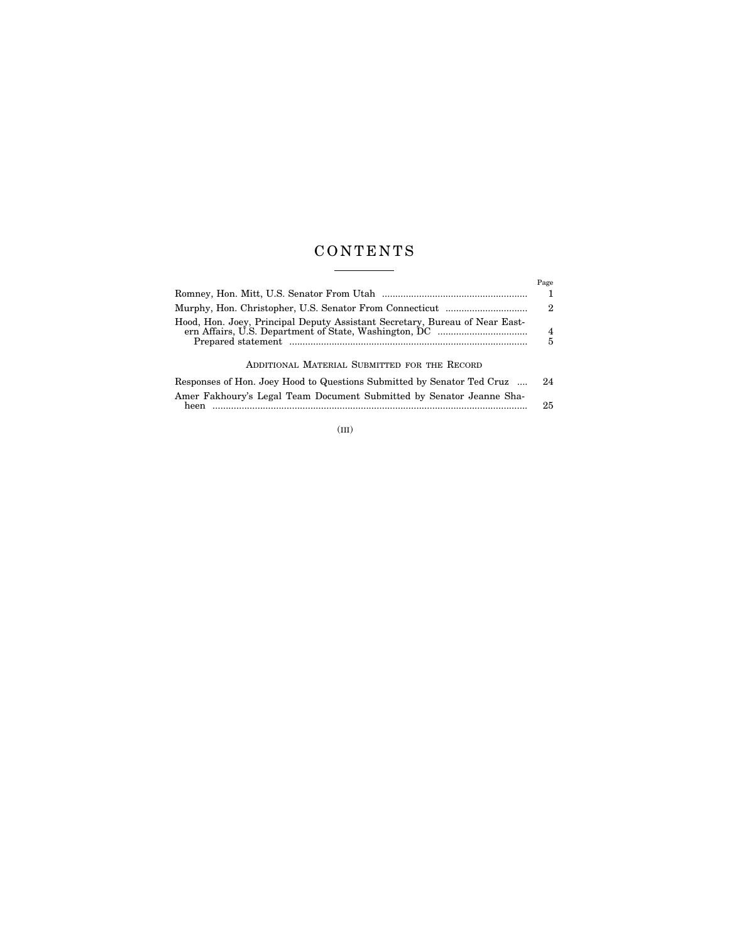## C O N T E N T S

|                                                                             | Page                |
|-----------------------------------------------------------------------------|---------------------|
|                                                                             | 1                   |
|                                                                             | $^{2}$              |
| Hood, Hon. Joey, Principal Deputy Assistant Secretary, Bureau of Near East- | $\overline{4}$<br>5 |
| ADDITIONAL MATERIAL SUBMITTED FOR THE RECORD                                |                     |
| Responses of Hon. Joey Hood to Questions Submitted by Senator Ted Cruz      | 24                  |
| Amer Fakhoury's Legal Team Document Submitted by Senator Jeanne Sha-        | 25                  |

(III)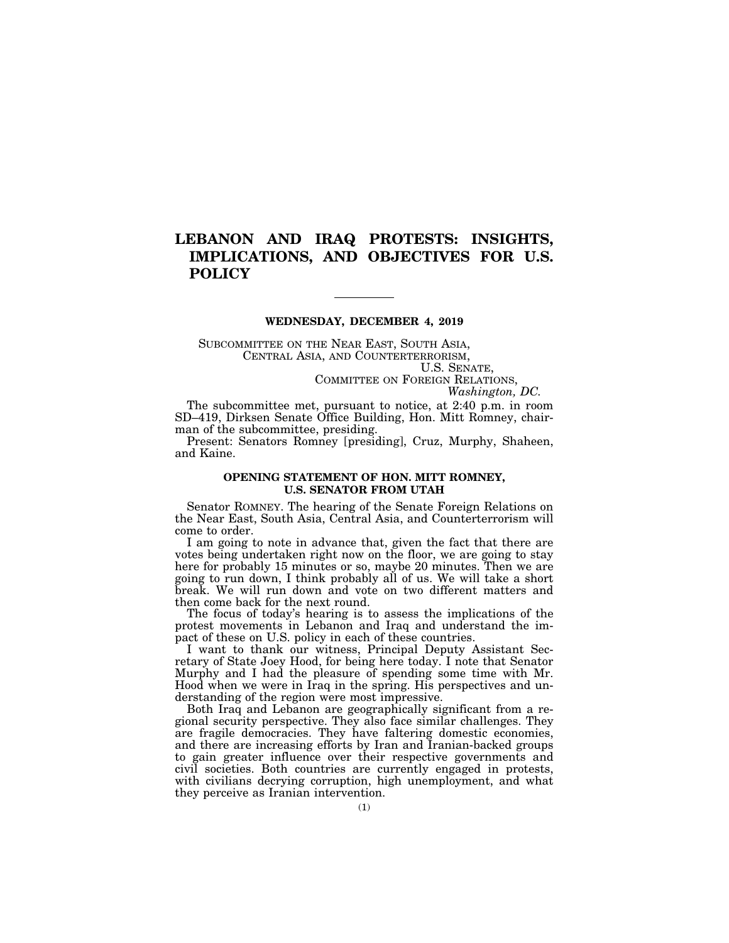### **LEBANON AND IRAQ PROTESTS: INSIGHTS, IMPLICATIONS, AND OBJECTIVES FOR U.S. POLICY**

#### **WEDNESDAY, DECEMBER 4, 2019**

SUBCOMMITTEE ON THE NEAR EAST, SOUTH ASIA, CENTRAL ASIA, AND COUNTERTERRORISM, U.S. SENATE, COMMITTEE ON FOREIGN RELATIONS,

*Washington, DC.* 

The subcommittee met, pursuant to notice, at 2:40 p.m. in room SD–419, Dirksen Senate Office Building, Hon. Mitt Romney, chairman of the subcommittee, presiding.

Present: Senators Romney [presiding], Cruz, Murphy, Shaheen, and Kaine.

#### **OPENING STATEMENT OF HON. MITT ROMNEY, U.S. SENATOR FROM UTAH**

Senator ROMNEY. The hearing of the Senate Foreign Relations on the Near East, South Asia, Central Asia, and Counterterrorism will come to order.

I am going to note in advance that, given the fact that there are votes being undertaken right now on the floor, we are going to stay here for probably 15 minutes or so, maybe 20 minutes. Then we are going to run down, I think probably all of us. We will take a short break. We will run down and vote on two different matters and then come back for the next round.

The focus of today's hearing is to assess the implications of the protest movements in Lebanon and Iraq and understand the impact of these on U.S. policy in each of these countries.

I want to thank our witness, Principal Deputy Assistant Secretary of State Joey Hood, for being here today. I note that Senator Murphy and I had the pleasure of spending some time with Mr. Hood when we were in Iraq in the spring. His perspectives and understanding of the region were most impressive.

Both Iraq and Lebanon are geographically significant from a regional security perspective. They also face similar challenges. They are fragile democracies. They have faltering domestic economies, and there are increasing efforts by Iran and Iranian-backed groups to gain greater influence over their respective governments and civil societies. Both countries are currently engaged in protests, with civilians decrying corruption, high unemployment, and what they perceive as Iranian intervention.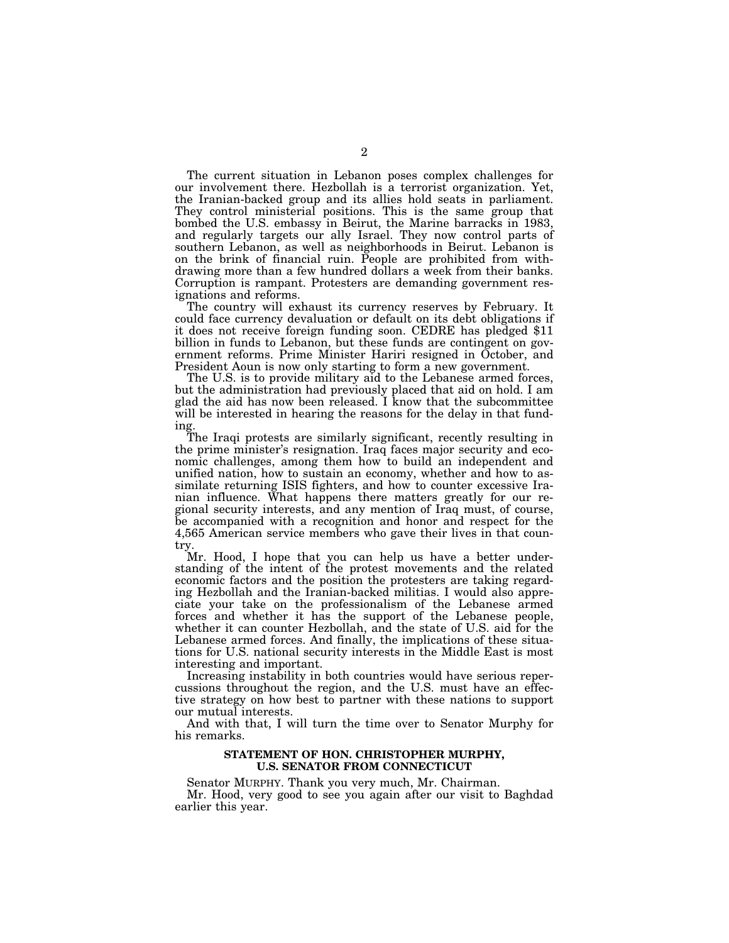The current situation in Lebanon poses complex challenges for our involvement there. Hezbollah is a terrorist organization. Yet, the Iranian-backed group and its allies hold seats in parliament. They control ministerial positions. This is the same group that bombed the U.S. embassy in Beirut, the Marine barracks in 1983, and regularly targets our ally Israel. They now control parts of southern Lebanon, as well as neighborhoods in Beirut. Lebanon is on the brink of financial ruin. People are prohibited from withdrawing more than a few hundred dollars a week from their banks. Corruption is rampant. Protesters are demanding government resignations and reforms.

The country will exhaust its currency reserves by February. It could face currency devaluation or default on its debt obligations if it does not receive foreign funding soon. CEDRE has pledged \$11 billion in funds to Lebanon, but these funds are contingent on government reforms. Prime Minister Hariri resigned in October, and President Aoun is now only starting to form a new government.

The U.S. is to provide military aid to the Lebanese armed forces, but the administration had previously placed that aid on hold. I am glad the aid has now been released. I know that the subcommittee will be interested in hearing the reasons for the delay in that funding.

The Iraqi protests are similarly significant, recently resulting in the prime minister's resignation. Iraq faces major security and economic challenges, among them how to build an independent and unified nation, how to sustain an economy, whether and how to assimilate returning ISIS fighters, and how to counter excessive Iranian influence. What happens there matters greatly for our regional security interests, and any mention of Iraq must, of course, be accompanied with a recognition and honor and respect for the 4,565 American service members who gave their lives in that country.

Mr. Hood, I hope that you can help us have a better understanding of the intent of the protest movements and the related economic factors and the position the protesters are taking regarding Hezbollah and the Iranian-backed militias. I would also appreciate your take on the professionalism of the Lebanese armed forces and whether it has the support of the Lebanese people, whether it can counter Hezbollah, and the state of U.S. aid for the Lebanese armed forces. And finally, the implications of these situations for U.S. national security interests in the Middle East is most interesting and important.

Increasing instability in both countries would have serious repercussions throughout the region, and the U.S. must have an effective strategy on how best to partner with these nations to support our mutual interests.

And with that, I will turn the time over to Senator Murphy for his remarks.

#### **STATEMENT OF HON. CHRISTOPHER MURPHY, U.S. SENATOR FROM CONNECTICUT**

Senator MURPHY. Thank you very much, Mr. Chairman.

Mr. Hood, very good to see you again after our visit to Baghdad earlier this year.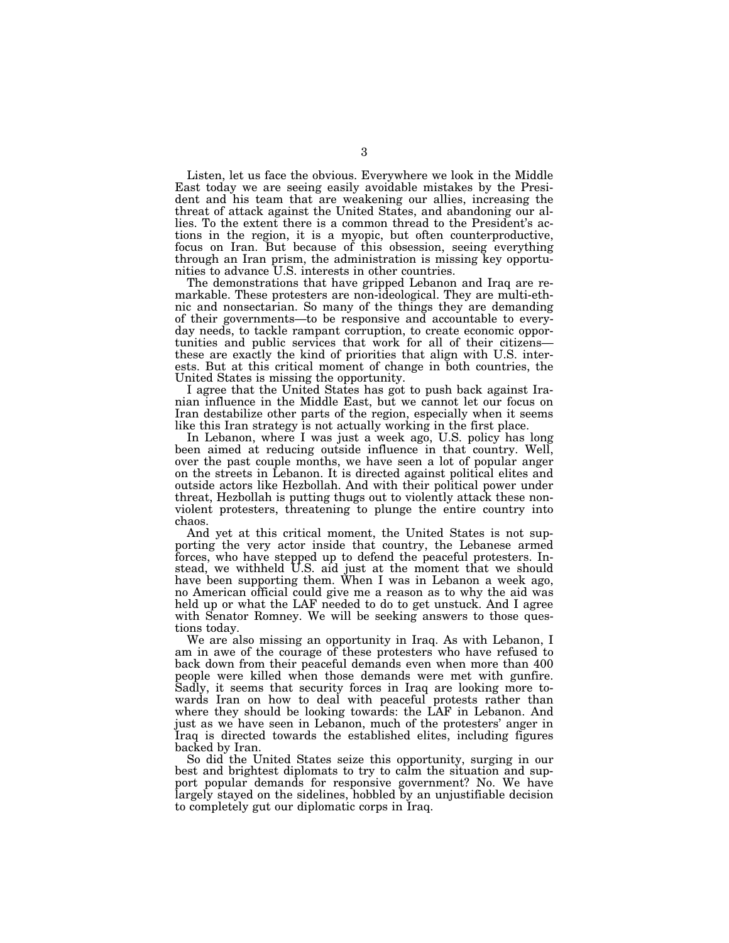Listen, let us face the obvious. Everywhere we look in the Middle East today we are seeing easily avoidable mistakes by the President and his team that are weakening our allies, increasing the threat of attack against the United States, and abandoning our allies. To the extent there is a common thread to the President's actions in the region, it is a myopic, but often counterproductive, focus on Iran. But because of this obsession, seeing everything through an Iran prism, the administration is missing key opportunities to advance U.S. interests in other countries.

The demonstrations that have gripped Lebanon and Iraq are remarkable. These protesters are non-ideological. They are multi-ethnic and nonsectarian. So many of the things they are demanding of their governments—to be responsive and accountable to everyday needs, to tackle rampant corruption, to create economic opportunities and public services that work for all of their citizens these are exactly the kind of priorities that align with U.S. interests. But at this critical moment of change in both countries, the United States is missing the opportunity.

I agree that the United States has got to push back against Iranian influence in the Middle East, but we cannot let our focus on Iran destabilize other parts of the region, especially when it seems like this Iran strategy is not actually working in the first place.

In Lebanon, where I was just a week ago, U.S. policy has long been aimed at reducing outside influence in that country. Well, over the past couple months, we have seen a lot of popular anger on the streets in Lebanon. It is directed against political elites and outside actors like Hezbollah. And with their political power under threat, Hezbollah is putting thugs out to violently attack these nonviolent protesters, threatening to plunge the entire country into chaos.

And yet at this critical moment, the United States is not supporting the very actor inside that country, the Lebanese armed forces, who have stepped up to defend the peaceful protesters. Instead, we withheld U.S. aid just at the moment that we should have been supporting them. When I was in Lebanon a week ago, no American official could give me a reason as to why the aid was held up or what the LAF needed to do to get unstuck. And I agree with Senator Romney. We will be seeking answers to those questions today.

We are also missing an opportunity in Iraq. As with Lebanon, I am in awe of the courage of these protesters who have refused to back down from their peaceful demands even when more than 400 people were killed when those demands were met with gunfire. Sadly, it seems that security forces in Iraq are looking more towards Iran on how to deal with peaceful protests rather than where they should be looking towards: the LAF in Lebanon. And just as we have seen in Lebanon, much of the protesters' anger in Iraq is directed towards the established elites, including figures backed by Iran.

So did the United States seize this opportunity, surging in our best and brightest diplomats to try to calm the situation and support popular demands for responsive government? No. We have largely stayed on the sidelines, hobbled by an unjustifiable decision to completely gut our diplomatic corps in Iraq.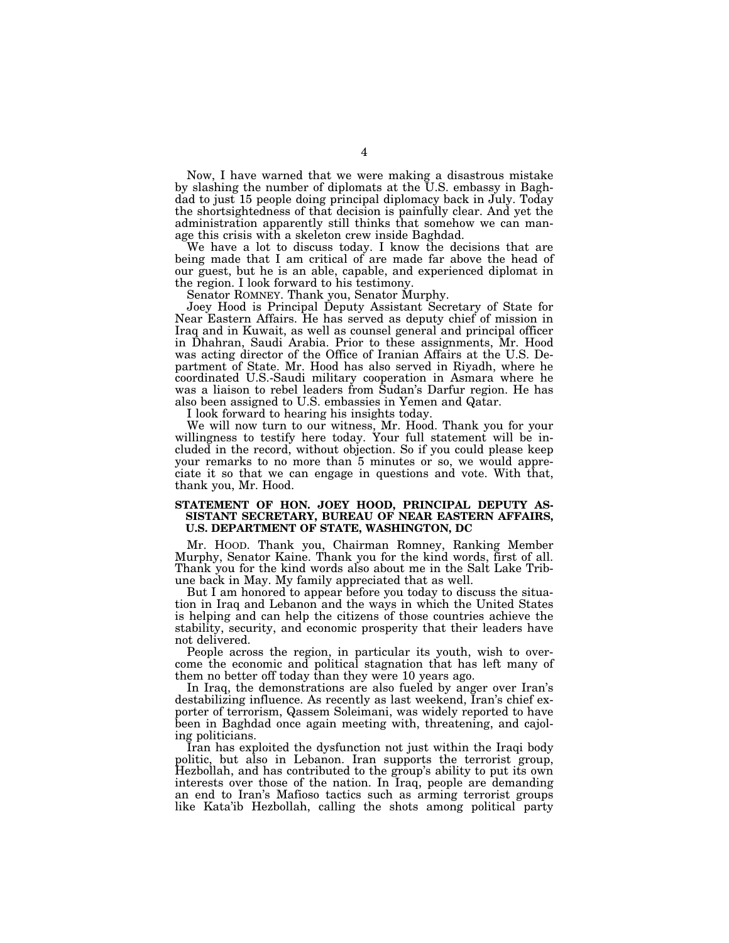Now, I have warned that we were making a disastrous mistake by slashing the number of diplomats at the U.S. embassy in Baghdad to just 15 people doing principal diplomacy back in July. Today the shortsightedness of that decision is painfully clear. And yet the administration apparently still thinks that somehow we can manage this crisis with a skeleton crew inside Baghdad.

We have a lot to discuss today. I know the decisions that are being made that I am critical of are made far above the head of our guest, but he is an able, capable, and experienced diplomat in the region. I look forward to his testimony.

Senator ROMNEY. Thank you, Senator Murphy.

Joey Hood is Principal Deputy Assistant Secretary of State for Near Eastern Affairs. He has served as deputy chief of mission in Iraq and in Kuwait, as well as counsel general and principal officer in Dhahran, Saudi Arabia. Prior to these assignments, Mr. Hood was acting director of the Office of Iranian Affairs at the U.S. Department of State. Mr. Hood has also served in Riyadh, where he coordinated U.S.-Saudi military cooperation in Asmara where he was a liaison to rebel leaders from Sudan's Darfur region. He has also been assigned to U.S. embassies in Yemen and Qatar.

I look forward to hearing his insights today.

We will now turn to our witness, Mr. Hood. Thank you for your willingness to testify here today. Your full statement will be included in the record, without objection. So if you could please keep your remarks to no more than 5 minutes or so, we would appreciate it so that we can engage in questions and vote. With that, thank you, Mr. Hood.

#### **STATEMENT OF HON. JOEY HOOD, PRINCIPAL DEPUTY AS-SISTANT SECRETARY, BUREAU OF NEAR EASTERN AFFAIRS, U.S. DEPARTMENT OF STATE, WASHINGTON, DC**

Mr. HOOD. Thank you, Chairman Romney, Ranking Member Murphy, Senator Kaine. Thank you for the kind words, first of all. Thank you for the kind words also about me in the Salt Lake Tribune back in May. My family appreciated that as well.

But I am honored to appear before you today to discuss the situation in Iraq and Lebanon and the ways in which the United States is helping and can help the citizens of those countries achieve the stability, security, and economic prosperity that their leaders have not delivered.

People across the region, in particular its youth, wish to overcome the economic and political stagnation that has left many of them no better off today than they were 10 years ago.

In Iraq, the demonstrations are also fueled by anger over Iran's destabilizing influence. As recently as last weekend, Iran's chief exporter of terrorism, Qassem Soleimani, was widely reported to have been in Baghdad once again meeting with, threatening, and cajoling politicians.

Iran has exploited the dysfunction not just within the Iraqi body politic, but also in Lebanon. Iran supports the terrorist group, Hezbollah, and has contributed to the group's ability to put its own interests over those of the nation. In Iraq, people are demanding an end to Iran's Mafioso tactics such as arming terrorist groups like Kata'ib Hezbollah, calling the shots among political party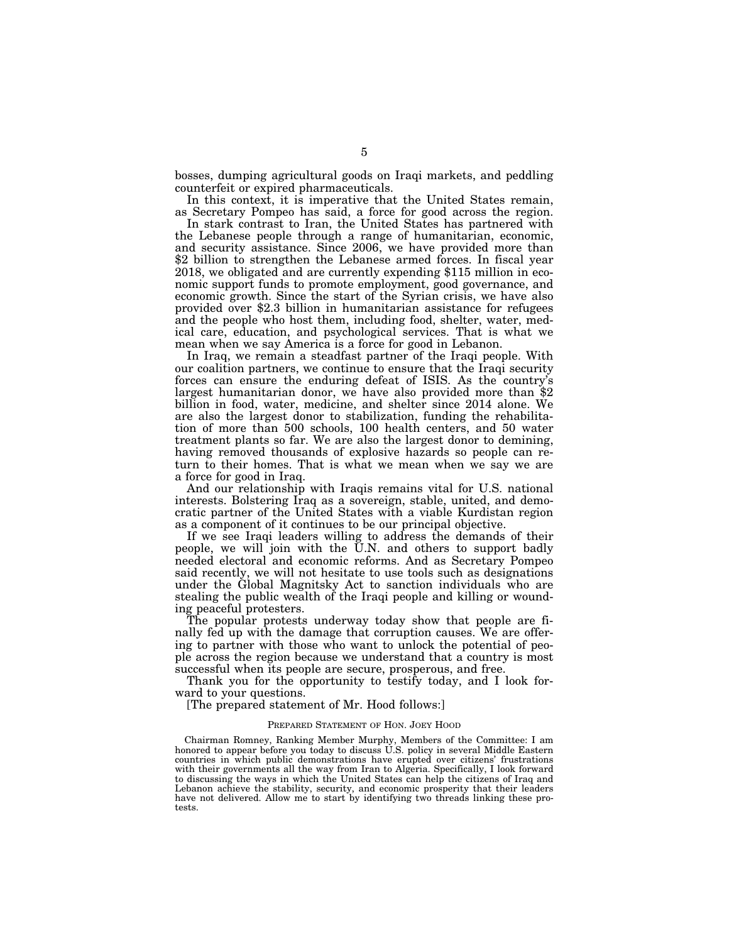bosses, dumping agricultural goods on Iraqi markets, and peddling counterfeit or expired pharmaceuticals.

In this context, it is imperative that the United States remain, as Secretary Pompeo has said, a force for good across the region.

In stark contrast to Iran, the United States has partnered with the Lebanese people through a range of humanitarian, economic, and security assistance. Since 2006, we have provided more than \$2 billion to strengthen the Lebanese armed forces. In fiscal year 2018, we obligated and are currently expending \$115 million in economic support funds to promote employment, good governance, and economic growth. Since the start of the Syrian crisis, we have also provided over \$2.3 billion in humanitarian assistance for refugees and the people who host them, including food, shelter, water, medical care, education, and psychological services. That is what we mean when we say America is a force for good in Lebanon.

In Iraq, we remain a steadfast partner of the Iraqi people. With our coalition partners, we continue to ensure that the Iraqi security forces can ensure the enduring defeat of ISIS. As the country's largest humanitarian donor, we have also provided more than \$2 billion in food, water, medicine, and shelter since 2014 alone. We are also the largest donor to stabilization, funding the rehabilitation of more than 500 schools, 100 health centers, and 50 water treatment plants so far. We are also the largest donor to demining, having removed thousands of explosive hazards so people can return to their homes. That is what we mean when we say we are a force for good in Iraq.

And our relationship with Iraqis remains vital for U.S. national interests. Bolstering Iraq as a sovereign, stable, united, and democratic partner of the United States with a viable Kurdistan region as a component of it continues to be our principal objective.

If we see Iraqi leaders willing to address the demands of their people, we will join with the U.N. and others to support badly needed electoral and economic reforms. And as Secretary Pompeo said recently, we will not hesitate to use tools such as designations under the Global Magnitsky Act to sanction individuals who are stealing the public wealth of the Iraqi people and killing or wounding peaceful protesters.

The popular protests underway today show that people are finally fed up with the damage that corruption causes. We are offering to partner with those who want to unlock the potential of people across the region because we understand that a country is most successful when its people are secure, prosperous, and free.

Thank you for the opportunity to testify today, and I look forward to your questions.

[The prepared statement of Mr. Hood follows:]

#### PREPARED STATEMENT OF HON. JOEY HOOD

Chairman Romney, Ranking Member Murphy, Members of the Committee: I am honored to appear before you today to discuss U.S. policy in several Middle Eastern countries in which public demonstrations have erupted over citizens' frustrations with their governments all the way from Iran to Algeria. Specifically, I look forward to discussing the ways in which the United States can help the citizens of Iraq and Lebanon achieve the stability, security, and economic prosperity that their leaders have not delivered. Allow me to start by identifying two threads linking these protests.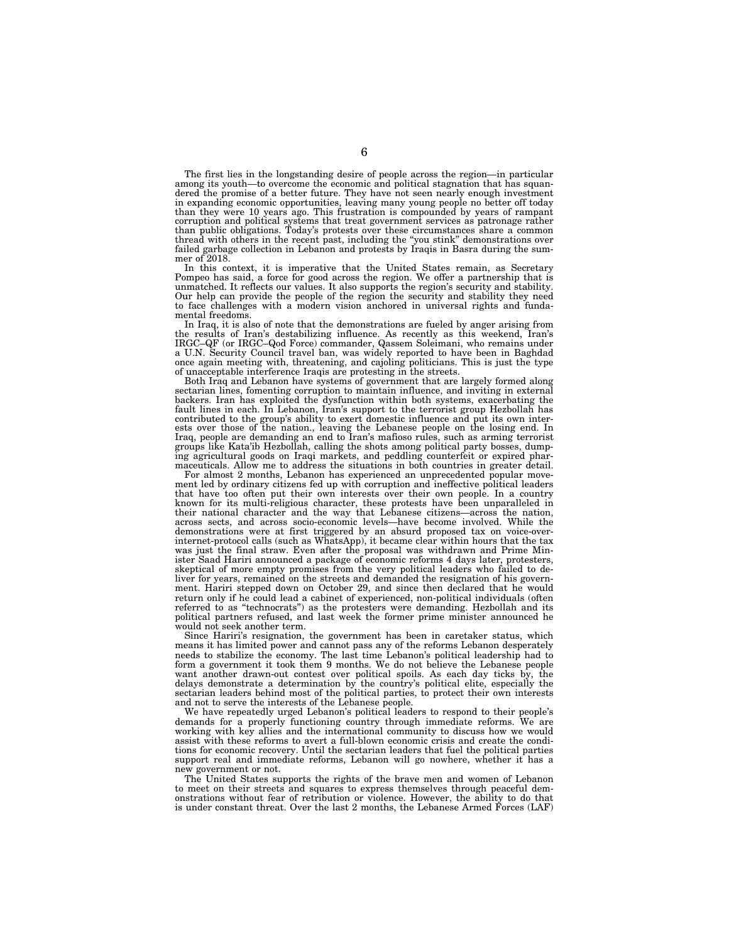The first lies in the longstanding desire of people across the region—in particular among its youth—to overcome the economic and political stagnation that has squandered the promise of a better future. They have not seen nearly enough investment in expanding economic opportunities, leaving many young people no better off today than they were 10 years ago. This frustration is compounded by years of rampant corruption and political systems that treat government services as patronage rather than public obligations. Today's protests over these circumstances share a common thread with others in the recent past, including the ''you stink'' demonstrations over failed garbage collection in Lebanon and protests by Iraqis in Basra during the summer of 2018.

In this context, it is imperative that the United States remain, as Secretary Pompeo has said, a force for good across the region. We offer a partnership that is unmatched. It reflects our values. It also supports the region's security and stability. Our help can provide the people of the region the security and stability they need to face challenges with a modern vision anchored in universal rights and fundamental freedoms.

In Iraq, it is also of note that the demonstrations are fueled by anger arising from the results of Iran's destabilizing influence. As recently as this weekend, Iran's IRGC–QF (or IRGC–Qod Force) commander, Qassem Soleimani, who remains under a U.N. Security Council travel ban, was widely reported to have been in Baghdad once again meeting with, threatening, and cajoling politicians. This is just the type

of unacceptable interference Iraqis are protesting in the streets. Both Iraq and Lebanon have systems of government that are largely formed along sectarian lines, fomenting corruption to maintain influence, and inviting in external backers. Iran has exploited the dysfunction within both systems, exacerbating the fault lines in each. In Lebanon, Iran's support to the terrorist group Hezbollah has contributed to the group's ability to exert domestic influence and put its own interests over those of the nation., leaving the Lebanese people on the losing end. In Iraq, people are demanding an end to Iran's mafioso rules, such as arming terrorist groups like Kata'ib Hezbollah, calling the shots among political party bosses, dumping agricultural goods on Iraqi markets, and peddling counterfeit or expired pharmaceuticals. Allow me to address the situations in both co

For almost 2 months, Lebanon has experienced an unprecedented popular movement led by ordinary citizens fed up with corruption and ineffective political leaders that have too often put their own interests over their own people. In a country known for its multi-religious character, these protests have been unparalleled in their national character and the way that Lebanese citizens—across the nation, across sects, and across socio-economic levels—have become involved. While the demonstrations were at first triggered by an absurd proposed tax on voice-overinternet-protocol calls (such as WhatsApp), it became clear within hours that the tax was just the final straw. Even after the proposal was withdrawn and Prime Minister Saad Hariri announced a package of economic reforms 4 days later, protesters, skeptical of more empty promises from the very political leaders who failed to deliver for years, remained on the streets and demanded the resignation of his government. Hariri stepped down on October 29, and since then declared that he would return only if he could lead a cabinet of experienced, non-political individuals (often referred to as ''technocrats'') as the protesters were demanding. Hezbollah and its political partners refused, and last week the former prime minister announced he would not seek another term.

Since Hariri's resignation, the government has been in caretaker status, which means it has limited power and cannot pass any of the reforms Lebanon desperately needs to stabilize the economy. The last time Lebanon's political leadership had to form a government it took them 9 months. We do not believe the Lebanese people want another drawn-out contest over political spoils. As each day ticks by, the delays demonstrate a determination by the country's political elite, especially the sectarian leaders behind most of the political parties, to protect their own interests and not to serve the interests of the Lebanese people.

We have repeatedly urged Lebanon's political leaders to respond to their people's demands for a properly functioning country through immediate reforms. We are working with key allies and the international community to discuss how we would assist with these reforms to avert a full-blown economic crisis and create the conditions for economic recovery. Until the sectarian leaders that fuel the political parties support real and immediate reforms, Lebanon will go nowhere, whether it has a new government or not.

The United States supports the rights of the brave men and women of Lebanon to meet on their streets and squares to express themselves through peaceful demonstrations without fear of retribution or violence. However, the ability to do that is under constant threat. Over the last 2 months, the Lebanese Armed Forces (LAF)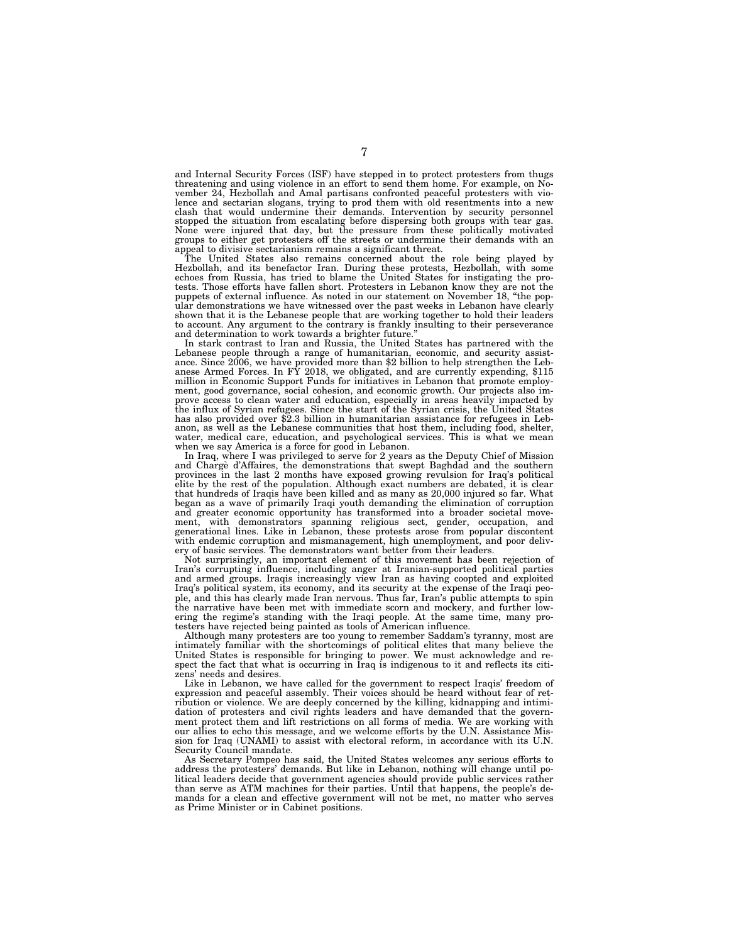and Internal Security Forces (ISF) have stepped in to protect protesters from thugs threatening and using violence in an effort to send them home. For example, on November 24, Hezbollah and Amal partisans confronted peaceful protesters with violence and sectarian slogans, trying to prod them with old resentments into a new clash that would undermine their demands. Intervention by security personnel stopped the situation from escalating before dispersing both groups with tear gas. None were injured that day, but the pressure from these politically motivated groups to either get protesters off the streets or undermine their demands with an appeal to divisive sectarianism remains a significant threat.

The United States also remains concerned about the role being played by Hezbollah, and its benefactor Iran. During these protests, Hezbollah, with some echoes from Russia, has tried to blame the United States for instigati tests. Those efforts have fallen short. Protesters in Lebanon know they are not the puppets of external influence. As noted in our statement on November 18, ''the popular demonstrations we have witnessed over the past weeks in Lebanon have clearly shown that it is the Lebanese people that are working together to hold their leaders to account. Any argument to the contrary is frankly insulting to their perseverance and determination to work towards a brighter future

In stark contrast to Iran and Russia, the United States has partnered with the Lebanese people through a range of humanitarian, economic, and security assistance. Since 2006, we have provided more than \$2 billion to help strengthen the Lebanese Armed Forces. In FY 2018, we obligated, and are currentl ment, good governance, social cohesion, and economic growth. Our projects also im-prove access to clean water and education, especially in areas heavily impacted by the influx of Syrian refugees. Since the start of the Syrian crisis, the United States has also provided over \$2.3 billion in humanitarian assistance for refugees in Lebanon, as well as the Lebanese communities that host them, including food, shelter, water, medical care, education, and psychological services. This is what we mean when we say America is a force for good in Lebanon.

In Iraq, where I was privileged to serve for 2 years as the Deputy Chief of Mission and Charge` d'Affaires, the demonstrations that swept Baghdad and the southern provinces in the last 2 months have exposed growing revulsion for Iraq's political elite by the rest of the population. Although exact numbers are debated, it is clear that hundreds of Iraqis have been killed and as many as 20,000 injured so far. What began as a wave of primarily Iraqi youth demanding the elimination of corruption and greater economic opportunity has transformed into a broader societal movement, with demonstrators spanning religious sect, gender, occupation, and generational lines. Like in Lebanon, these protests arose from popular discontent with endemic corruption and mismanagement, high unemployment, and poor delivery of basic services. The demonstrators want better from their leaders.

Not surprisingly, an important element of this movement has been rejection of Iran's corrupting influence, including anger at Iranian-supported political parties and armed groups. Iraqis increasingly view Iran as having coopted and exploited Iraq's political system, its economy, and its security at the expense of the Iraqi people, and this has clearly made Iran nervous. Thus far, Iran's public attempts to spin the narrative have been met with immediate scorn and mockery, and further lowering the regime's standing with the Iraqi people. At the same time, many protesters have rejected being painted as tools of American influence.

Although many protesters are too young to remember Saddam's tyranny, most are intimately familiar with the shortcomings of political elites that many believe the United States is responsible for bringing to power. We must acknowledge and respect the fact that what is occurring in Iraq is indigenous to it and reflects its citizens' needs and desires.

Like in Lebanon, we have called for the government to respect Iraqis' freedom of expression and peaceful assembly. Their voices should be heard without fear of retribution or violence. We are deeply concerned by the killing, kidnapping and intimidation of protesters and civil rights leaders and have demanded that the government protect them and lift restrictions on all forms of media. We are working with our allies to echo this message, and we welcome efforts by the U.N. Assistance Mission for Iraq (UNAMI) to assist with electoral reform, in accordance with its U.N. Security Council mandate.

As Secretary Pompeo has said, the United States welcomes any serious efforts to address the protesters' demands. But like in Lebanon, nothing will change until political leaders decide that government agencies should provide public services rather than serve as ATM machines for their parties. Until that happens, the people's demands for a clean and effective government will not be met, no matter who serves as Prime Minister or in Cabinet positions.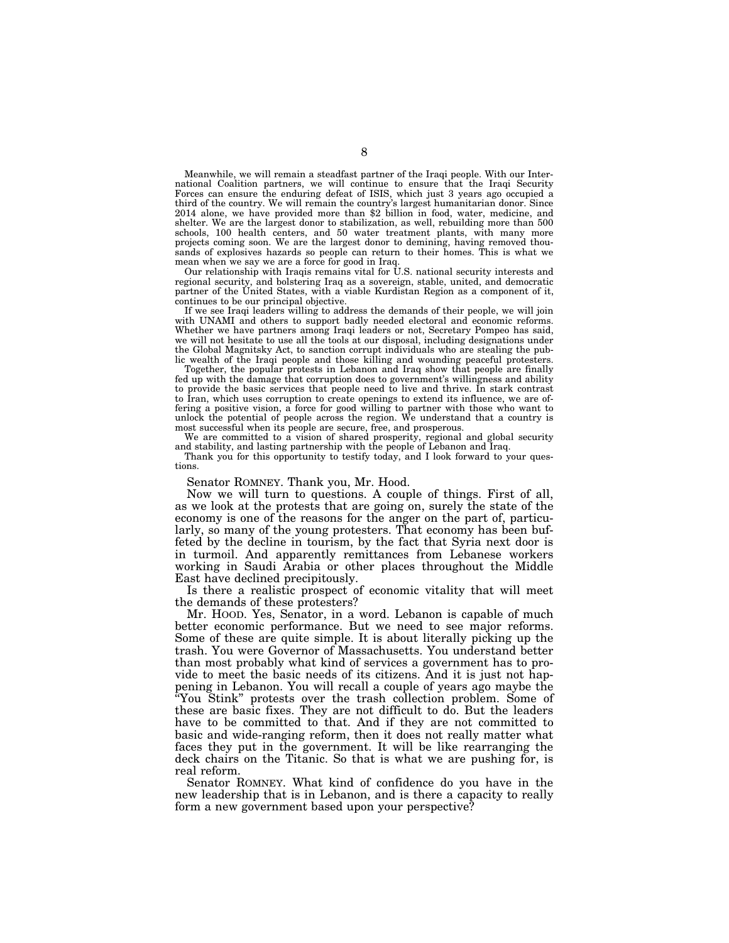Meanwhile, we will remain a steadfast partner of the Iraqi people. With our International Coalition partners, we will continue to ensure that the Iraqi Security Forces can ensure the enduring defeat of ISIS, which just 3 years ago occupied a third of the country. We will remain the country's largest humanitarian donor. Since 2014 alone, we have provided more than \$2 billion in food, water, medicine, and shelter. We are the largest donor to stabilization, as well, rebuilding more than 500 schools, 100 health centers, and 50 water treatment plants, with many more projects coming soon. We are the largest donor to demining, having removed thousands of explosives hazards so people can return to their homes. This is what we mean when we say we are a force for good in Iraq.

Our relationship with Iraqis remains vital for U.S. national security interests and regional security, and bolstering Iraq as a sovereign, stable, united, and democratic partner of the United States, with a viable Kurdistan Region as a component of it, continues to be our principal objective.

If we see Iraqi leaders willing to address the demands of their people, we will join with UNAMI and others to support badly needed electoral and economic reforms. Whether we have partners among Iraqi leaders or not, Secretary Pompeo has said, we will not hesitate to use all the tools at our disposal, including designations under the Global Magnitsky Act, to sanction corrupt individuals who are stealing the public wealth of the Iraqi people and those killing and wounding peaceful protesters.

Together, the popular protests in Lebanon and Iraq show that people are finally fed up with the damage that corruption does to government's willingness and ability to provide the basic services that people need to live and thrive. In stark contrast to Iran, which uses corruption to create openings to extend its influence, we are offering a positive vision, a force for good willing to partner with those who want to unlock the potential of people across the region. We understand that a country is most successful when its people are secure, free, and prosperous.

We are committed to a vision of shared prosperity, regional and global security and stability, and lasting partnership with the people of Lebanon and Iraq.

Thank you for this opportunity to testify today, and I look forward to your questions.

Senator ROMNEY. Thank you, Mr. Hood.

Now we will turn to questions. A couple of things. First of all, as we look at the protests that are going on, surely the state of the economy is one of the reasons for the anger on the part of, particularly, so many of the young protesters. That economy has been buffeted by the decline in tourism, by the fact that Syria next door is in turmoil. And apparently remittances from Lebanese workers working in Saudi Arabia or other places throughout the Middle East have declined precipitously.

Is there a realistic prospect of economic vitality that will meet the demands of these protesters?

Mr. HOOD. Yes, Senator, in a word. Lebanon is capable of much better economic performance. But we need to see major reforms. Some of these are quite simple. It is about literally picking up the trash. You were Governor of Massachusetts. You understand better than most probably what kind of services a government has to provide to meet the basic needs of its citizens. And it is just not happening in Lebanon. You will recall a couple of years ago maybe the ''You Stink'' protests over the trash collection problem. Some of these are basic fixes. They are not difficult to do. But the leaders have to be committed to that. And if they are not committed to basic and wide-ranging reform, then it does not really matter what faces they put in the government. It will be like rearranging the deck chairs on the Titanic. So that is what we are pushing for, is real reform.

Senator ROMNEY. What kind of confidence do you have in the new leadership that is in Lebanon, and is there a capacity to really form a new government based upon your perspective?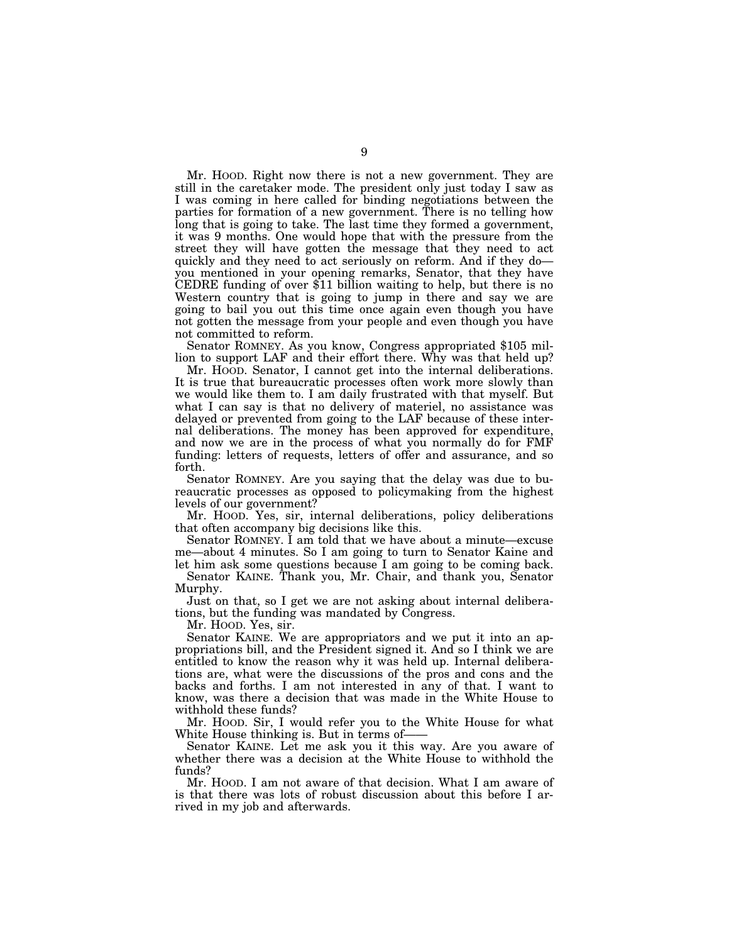Mr. HOOD. Right now there is not a new government. They are still in the caretaker mode. The president only just today I saw as I was coming in here called for binding negotiations between the parties for formation of a new government. There is no telling how long that is going to take. The last time they formed a government, it was 9 months. One would hope that with the pressure from the street they will have gotten the message that they need to act quickly and they need to act seriously on reform. And if they do you mentioned in your opening remarks, Senator, that they have CEDRE funding of over \$11 billion waiting to help, but there is no Western country that is going to jump in there and say we are going to bail you out this time once again even though you have not gotten the message from your people and even though you have not committed to reform.

Senator ROMNEY. As you know, Congress appropriated \$105 million to support LAF and their effort there. Why was that held up?

Mr. HOOD. Senator, I cannot get into the internal deliberations. It is true that bureaucratic processes often work more slowly than we would like them to. I am daily frustrated with that myself. But what I can say is that no delivery of materiel, no assistance was delayed or prevented from going to the LAF because of these internal deliberations. The money has been approved for expenditure, and now we are in the process of what you normally do for FMF funding: letters of requests, letters of offer and assurance, and so forth.

Senator ROMNEY. Are you saying that the delay was due to bureaucratic processes as opposed to policymaking from the highest levels of our government?

Mr. HOOD. Yes, sir, internal deliberations, policy deliberations that often accompany big decisions like this.

Senator ROMNEY. I am told that we have about a minute—excuse me—about 4 minutes. So I am going to turn to Senator Kaine and let him ask some questions because I am going to be coming back.

Senator KAINE. Thank you, Mr. Chair, and thank you, Senator Murphy.

Just on that, so I get we are not asking about internal deliberations, but the funding was mandated by Congress.

Mr. HOOD. Yes, sir.

Senator KAINE. We are appropriators and we put it into an appropriations bill, and the President signed it. And so I think we are entitled to know the reason why it was held up. Internal deliberations are, what were the discussions of the pros and cons and the backs and forths. I am not interested in any of that. I want to know, was there a decision that was made in the White House to withhold these funds?

Mr. HOOD. Sir, I would refer you to the White House for what White House thinking is. But in terms of-

Senator KAINE. Let me ask you it this way. Are you aware of whether there was a decision at the White House to withhold the funds?

Mr. HOOD. I am not aware of that decision. What I am aware of is that there was lots of robust discussion about this before I arrived in my job and afterwards.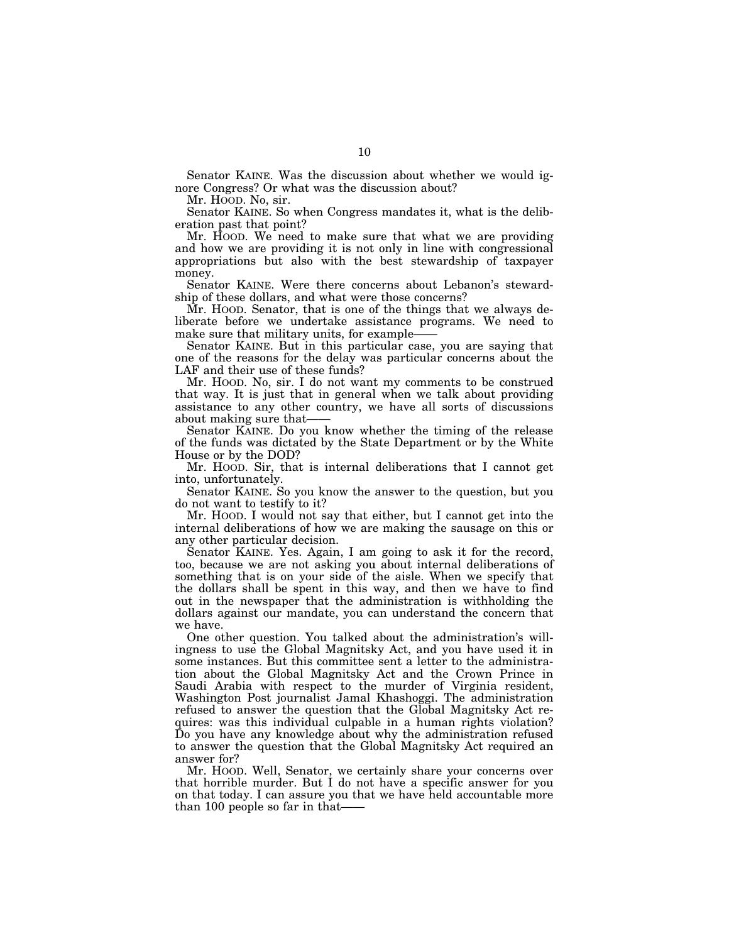Senator KAINE. Was the discussion about whether we would ignore Congress? Or what was the discussion about?

Mr. HOOD. No, sir.

Senator KAINE. So when Congress mandates it, what is the deliberation past that point?

Mr. Hoop. We need to make sure that what we are providing and how we are providing it is not only in line with congressional appropriations but also with the best stewardship of taxpayer money.

Senator KAINE. Were there concerns about Lebanon's stewardship of these dollars, and what were those concerns?

Mr. HOOD. Senator, that is one of the things that we always deliberate before we undertake assistance programs. We need to make sure that military units, for example-

Senator KAINE. But in this particular case, you are saying that one of the reasons for the delay was particular concerns about the LAF and their use of these funds?

Mr. HOOD. No, sir. I do not want my comments to be construed that way. It is just that in general when we talk about providing assistance to any other country, we have all sorts of discussions about making sure that-

Senator KAINE. Do you know whether the timing of the release of the funds was dictated by the State Department or by the White House or by the DOD?

Mr. HOOD. Sir, that is internal deliberations that I cannot get into, unfortunately.

Senator KAINE. So you know the answer to the question, but you do not want to testify to it?

Mr. HOOD. I would not say that either, but I cannot get into the internal deliberations of how we are making the sausage on this or any other particular decision.

Senator KAINE. Yes. Again, I am going to ask it for the record, too, because we are not asking you about internal deliberations of something that is on your side of the aisle. When we specify that the dollars shall be spent in this way, and then we have to find out in the newspaper that the administration is withholding the dollars against our mandate, you can understand the concern that we have.

One other question. You talked about the administration's willingness to use the Global Magnitsky Act, and you have used it in some instances. But this committee sent a letter to the administration about the Global Magnitsky Act and the Crown Prince in Saudi Arabia with respect to the murder of Virginia resident, Washington Post journalist Jamal Khashoggi. The administration refused to answer the question that the Global Magnitsky Act requires: was this individual culpable in a human rights violation? Do you have any knowledge about why the administration refused to answer the question that the Global Magnitsky Act required an answer for?

Mr. HOOD. Well, Senator, we certainly share your concerns over that horrible murder. But I do not have a specific answer for you on that today. I can assure you that we have held accountable more than 100 people so far in that——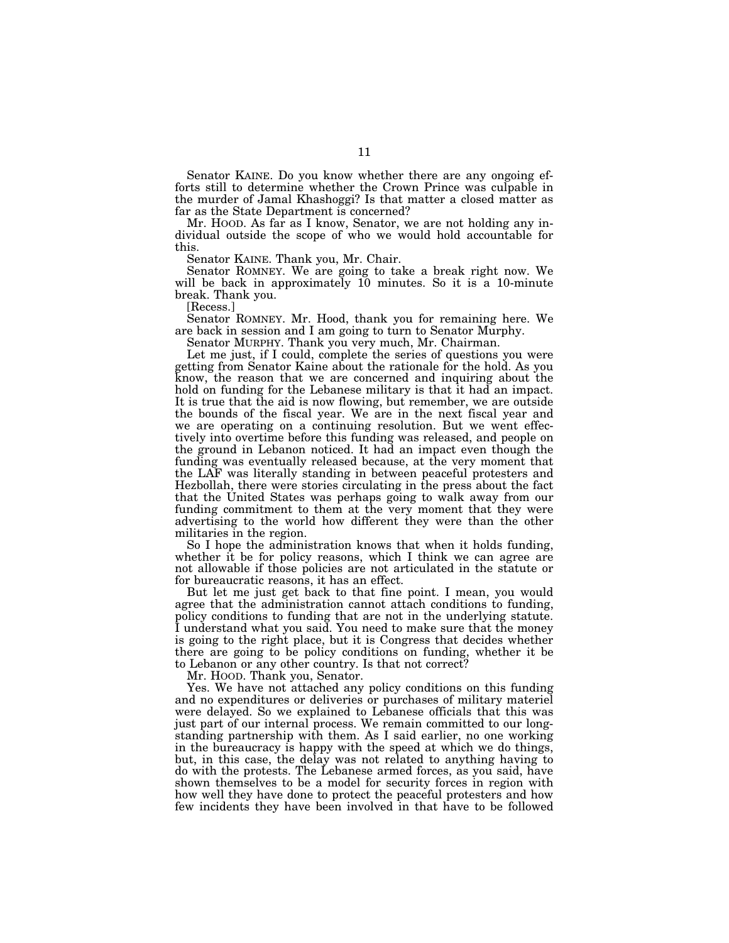Senator KAINE. Do you know whether there are any ongoing efforts still to determine whether the Crown Prince was culpable in the murder of Jamal Khashoggi? Is that matter a closed matter as far as the State Department is concerned?

Mr. HOOD. As far as I know, Senator, we are not holding any individual outside the scope of who we would hold accountable for this.

Senator KAINE. Thank you, Mr. Chair.

Senator ROMNEY. We are going to take a break right now. We will be back in approximately  $10$  minutes. So it is a 10-minute break. Thank you.

[Recess.]

Senator ROMNEY. Mr. Hood, thank you for remaining here. We are back in session and I am going to turn to Senator Murphy.

Senator MURPHY. Thank you very much, Mr. Chairman.

Let me just, if I could, complete the series of questions you were getting from Senator Kaine about the rationale for the hold. As you know, the reason that we are concerned and inquiring about the hold on funding for the Lebanese military is that it had an impact. It is true that the aid is now flowing, but remember, we are outside the bounds of the fiscal year. We are in the next fiscal year and we are operating on a continuing resolution. But we went effectively into overtime before this funding was released, and people on the ground in Lebanon noticed. It had an impact even though the funding was eventually released because, at the very moment that the LAF was literally standing in between peaceful protesters and Hezbollah, there were stories circulating in the press about the fact that the United States was perhaps going to walk away from our funding commitment to them at the very moment that they were advertising to the world how different they were than the other militaries in the region.

So I hope the administration knows that when it holds funding, whether it be for policy reasons, which I think we can agree are not allowable if those policies are not articulated in the statute or for bureaucratic reasons, it has an effect.

But let me just get back to that fine point. I mean, you would agree that the administration cannot attach conditions to funding, policy conditions to funding that are not in the underlying statute. I understand what you said. You need to make sure that the money is going to the right place, but it is Congress that decides whether there are going to be policy conditions on funding, whether it be to Lebanon or any other country. Is that not correct?

Mr. HOOD. Thank you, Senator.

Yes. We have not attached any policy conditions on this funding and no expenditures or deliveries or purchases of military materiel were delayed. So we explained to Lebanese officials that this was just part of our internal process. We remain committed to our longstanding partnership with them. As I said earlier, no one working in the bureaucracy is happy with the speed at which we do things, but, in this case, the delay was not related to anything having to do with the protests. The Lebanese armed forces, as you said, have shown themselves to be a model for security forces in region with how well they have done to protect the peaceful protesters and how few incidents they have been involved in that have to be followed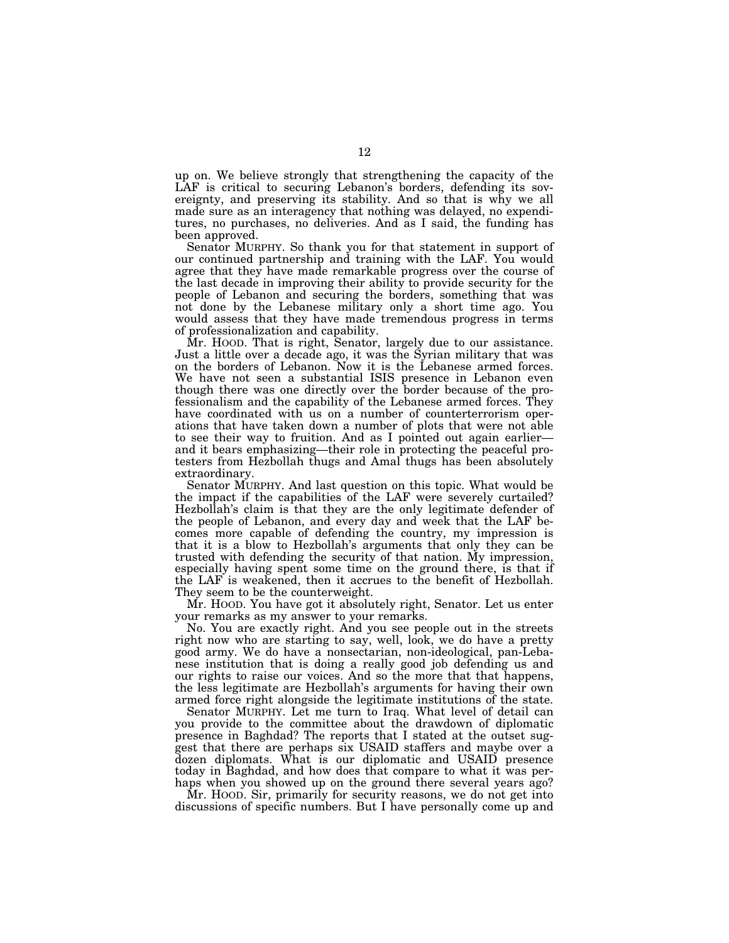up on. We believe strongly that strengthening the capacity of the LAF is critical to securing Lebanon's borders, defending its sovereignty, and preserving its stability. And so that is why we all made sure as an interagency that nothing was delayed, no expenditures, no purchases, no deliveries. And as I said, the funding has been approved.

Senator MURPHY. So thank you for that statement in support of our continued partnership and training with the LAF. You would agree that they have made remarkable progress over the course of the last decade in improving their ability to provide security for the people of Lebanon and securing the borders, something that was not done by the Lebanese military only a short time ago. You would assess that they have made tremendous progress in terms of professionalization and capability.

Mr. HOOD. That is right, Senator, largely due to our assistance. Just a little over a decade ago, it was the Syrian military that was on the borders of Lebanon. Now it is the Lebanese armed forces. We have not seen a substantial ISIS presence in Lebanon even though there was one directly over the border because of the professionalism and the capability of the Lebanese armed forces. They have coordinated with us on a number of counterterrorism operations that have taken down a number of plots that were not able to see their way to fruition. And as I pointed out again earlier and it bears emphasizing—their role in protecting the peaceful protesters from Hezbollah thugs and Amal thugs has been absolutely extraordinary.

Senator MURPHY. And last question on this topic. What would be the impact if the capabilities of the LAF were severely curtailed? Hezbollah's claim is that they are the only legitimate defender of the people of Lebanon, and every day and week that the LAF becomes more capable of defending the country, my impression is that it is a blow to Hezbollah's arguments that only they can be trusted with defending the security of that nation. My impression, especially having spent some time on the ground there, is that if the LAF is weakened, then it accrues to the benefit of Hezbollah. They seem to be the counterweight.

Mr. HOOD. You have got it absolutely right, Senator. Let us enter your remarks as my answer to your remarks.

No. You are exactly right. And you see people out in the streets right now who are starting to say, well, look, we do have a pretty good army. We do have a nonsectarian, non-ideological, pan-Lebanese institution that is doing a really good job defending us and our rights to raise our voices. And so the more that that happens, the less legitimate are Hezbollah's arguments for having their own armed force right alongside the legitimate institutions of the state.

Senator MURPHY. Let me turn to Iraq. What level of detail can you provide to the committee about the drawdown of diplomatic presence in Baghdad? The reports that I stated at the outset suggest that there are perhaps six USAID staffers and maybe over a dozen diplomats. What is our diplomatic and USAID presence today in Baghdad, and how does that compare to what it was perhaps when you showed up on the ground there several years ago?

Mr. HOOD. Sir, primarily for security reasons, we do not get into discussions of specific numbers. But I have personally come up and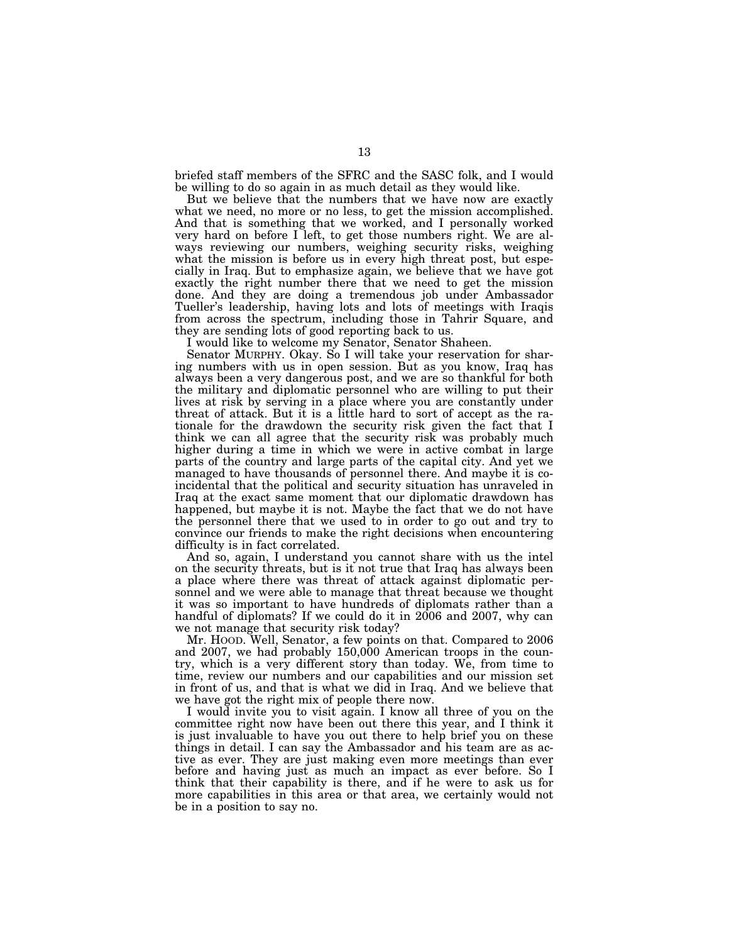briefed staff members of the SFRC and the SASC folk, and I would be willing to do so again in as much detail as they would like.

But we believe that the numbers that we have now are exactly what we need, no more or no less, to get the mission accomplished. And that is something that we worked, and I personally worked very hard on before I left, to get those numbers right. We are always reviewing our numbers, weighing security risks, weighing what the mission is before us in every high threat post, but especially in Iraq. But to emphasize again, we believe that we have got exactly the right number there that we need to get the mission done. And they are doing a tremendous job under Ambassador Tueller's leadership, having lots and lots of meetings with Iraqis from across the spectrum, including those in Tahrir Square, and they are sending lots of good reporting back to us.

I would like to welcome my Senator, Senator Shaheen.

Senator MURPHY. Okay. So I will take your reservation for sharing numbers with us in open session. But as you know, Iraq has always been a very dangerous post, and we are so thankful for both the military and diplomatic personnel who are willing to put their lives at risk by serving in a place where you are constantly under threat of attack. But it is a little hard to sort of accept as the rationale for the drawdown the security risk given the fact that I think we can all agree that the security risk was probably much higher during a time in which we were in active combat in large parts of the country and large parts of the capital city. And yet we managed to have thousands of personnel there. And maybe it is coincidental that the political and security situation has unraveled in Iraq at the exact same moment that our diplomatic drawdown has happened, but maybe it is not. Maybe the fact that we do not have the personnel there that we used to in order to go out and try to convince our friends to make the right decisions when encountering difficulty is in fact correlated.

And so, again, I understand you cannot share with us the intel on the security threats, but is it not true that Iraq has always been a place where there was threat of attack against diplomatic personnel and we were able to manage that threat because we thought it was so important to have hundreds of diplomats rather than a handful of diplomats? If we could do it in 2006 and 2007, why can we not manage that security risk today?

Mr. HOOD. Well, Senator, a few points on that. Compared to 2006 and 2007, we had probably 150,000 American troops in the country, which is a very different story than today. We, from time to time, review our numbers and our capabilities and our mission set in front of us, and that is what we did in Iraq. And we believe that we have got the right mix of people there now.

I would invite you to visit again. I know all three of you on the committee right now have been out there this year, and I think it is just invaluable to have you out there to help brief you on these things in detail. I can say the Ambassador and his team are as active as ever. They are just making even more meetings than ever before and having just as much an impact as ever before. So I think that their capability is there, and if he were to ask us for more capabilities in this area or that area, we certainly would not be in a position to say no.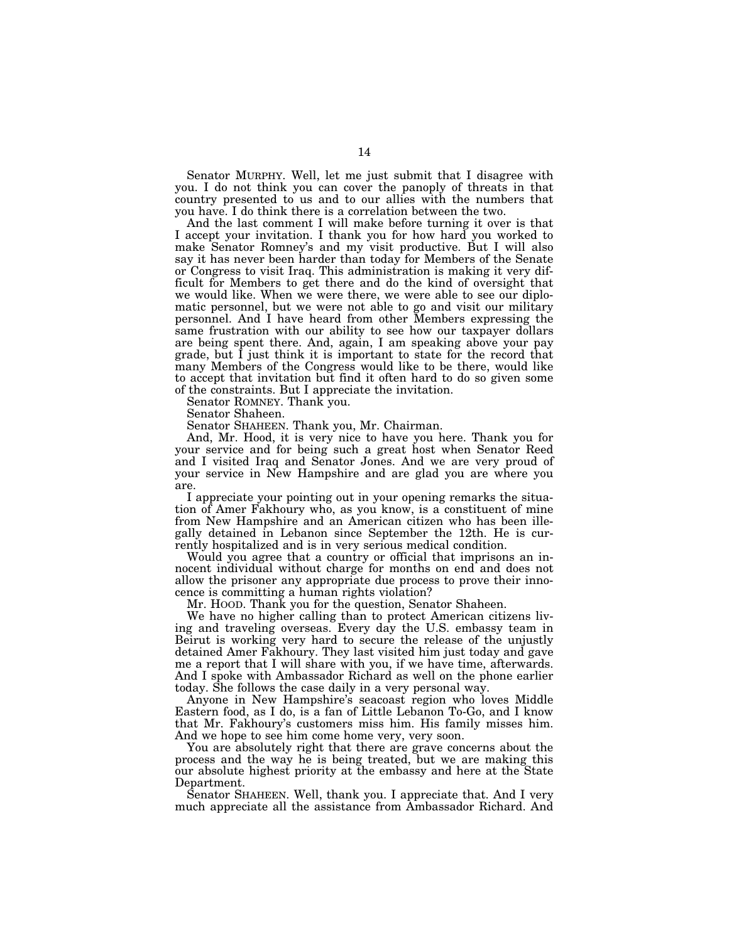Senator MURPHY. Well, let me just submit that I disagree with you. I do not think you can cover the panoply of threats in that country presented to us and to our allies with the numbers that you have. I do think there is a correlation between the two.

And the last comment I will make before turning it over is that I accept your invitation. I thank you for how hard you worked to make Senator Romney's and my visit productive. But I will also say it has never been harder than today for Members of the Senate or Congress to visit Iraq. This administration is making it very difficult for Members to get there and do the kind of oversight that we would like. When we were there, we were able to see our diplomatic personnel, but we were not able to go and visit our military personnel. And I have heard from other Members expressing the same frustration with our ability to see how our taxpayer dollars are being spent there. And, again, I am speaking above your pay grade, but I just think it is important to state for the record that many Members of the Congress would like to be there, would like to accept that invitation but find it often hard to do so given some of the constraints. But I appreciate the invitation.

Senator ROMNEY. Thank you.

Senator Shaheen.

Senator SHAHEEN. Thank you, Mr. Chairman.

And, Mr. Hood, it is very nice to have you here. Thank you for your service and for being such a great host when Senator Reed and I visited Iraq and Senator Jones. And we are very proud of your service in New Hampshire and are glad you are where you are.

I appreciate your pointing out in your opening remarks the situation of Amer Fakhoury who, as you know, is a constituent of mine from New Hampshire and an American citizen who has been illegally detained in Lebanon since September the 12th. He is currently hospitalized and is in very serious medical condition.

Would you agree that a country or official that imprisons an innocent individual without charge for months on end and does not allow the prisoner any appropriate due process to prove their innocence is committing a human rights violation?

Mr. HOOD. Thank you for the question, Senator Shaheen.

We have no higher calling than to protect American citizens living and traveling overseas. Every day the U.S. embassy team in Beirut is working very hard to secure the release of the unjustly detained Amer Fakhoury. They last visited him just today and gave me a report that I will share with you, if we have time, afterwards. And I spoke with Ambassador Richard as well on the phone earlier today. She follows the case daily in a very personal way.

Anyone in New Hampshire's seacoast region who loves Middle Eastern food, as I do, is a fan of Little Lebanon To-Go, and I know that Mr. Fakhoury's customers miss him. His family misses him. And we hope to see him come home very, very soon.

You are absolutely right that there are grave concerns about the process and the way he is being treated, but we are making this our absolute highest priority at the embassy and here at the State Department.

Senator SHAHEEN. Well, thank you. I appreciate that. And I very much appreciate all the assistance from Ambassador Richard. And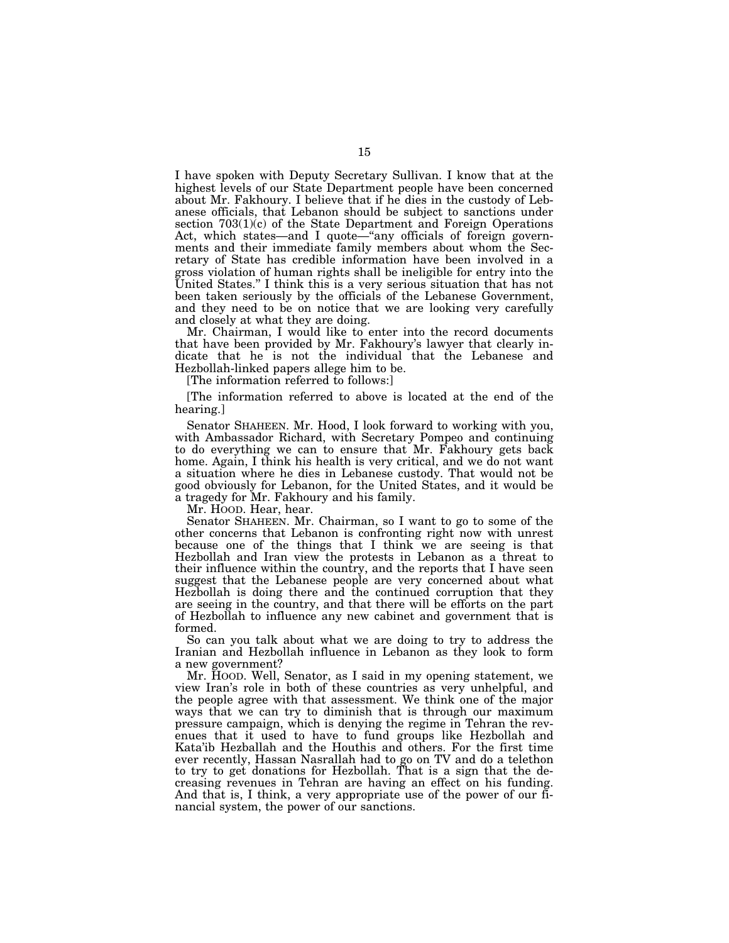I have spoken with Deputy Secretary Sullivan. I know that at the highest levels of our State Department people have been concerned about Mr. Fakhoury. I believe that if he dies in the custody of Lebanese officials, that Lebanon should be subject to sanctions under section 703(1)(c) of the State Department and Foreign Operations Act, which states—and I quote—''any officials of foreign governments and their immediate family members about whom the Secretary of State has credible information have been involved in a gross violation of human rights shall be ineligible for entry into the United States.'' I think this is a very serious situation that has not been taken seriously by the officials of the Lebanese Government, and they need to be on notice that we are looking very carefully and closely at what they are doing.

Mr. Chairman, I would like to enter into the record documents that have been provided by Mr. Fakhoury's lawyer that clearly indicate that he is not the individual that the Lebanese and Hezbollah-linked papers allege him to be.

[The information referred to follows:]

[The information referred to above is located at the end of the hearing.]

Senator SHAHEEN. Mr. Hood, I look forward to working with you, with Ambassador Richard, with Secretary Pompeo and continuing to do everything we can to ensure that Mr. Fakhoury gets back home. Again, I think his health is very critical, and we do not want a situation where he dies in Lebanese custody. That would not be good obviously for Lebanon, for the United States, and it would be a tragedy for Mr. Fakhoury and his family.

Mr. HOOD. Hear, hear.

Senator SHAHEEN. Mr. Chairman, so I want to go to some of the other concerns that Lebanon is confronting right now with unrest because one of the things that I think we are seeing is that Hezbollah and Iran view the protests in Lebanon as a threat to their influence within the country, and the reports that I have seen suggest that the Lebanese people are very concerned about what Hezbollah is doing there and the continued corruption that they are seeing in the country, and that there will be efforts on the part of Hezbollah to influence any new cabinet and government that is formed.

So can you talk about what we are doing to try to address the Iranian and Hezbollah influence in Lebanon as they look to form a new government?

Mr. HOOD. Well, Senator, as I said in my opening statement, we view Iran's role in both of these countries as very unhelpful, and the people agree with that assessment. We think one of the major ways that we can try to diminish that is through our maximum pressure campaign, which is denying the regime in Tehran the revenues that it used to have to fund groups like Hezbollah and Kata'ib Hezballah and the Houthis and others. For the first time ever recently, Hassan Nasrallah had to go on TV and do a telethon to try to get donations for Hezbollah. That is a sign that the decreasing revenues in Tehran are having an effect on his funding. And that is, I think, a very appropriate use of the power of our financial system, the power of our sanctions.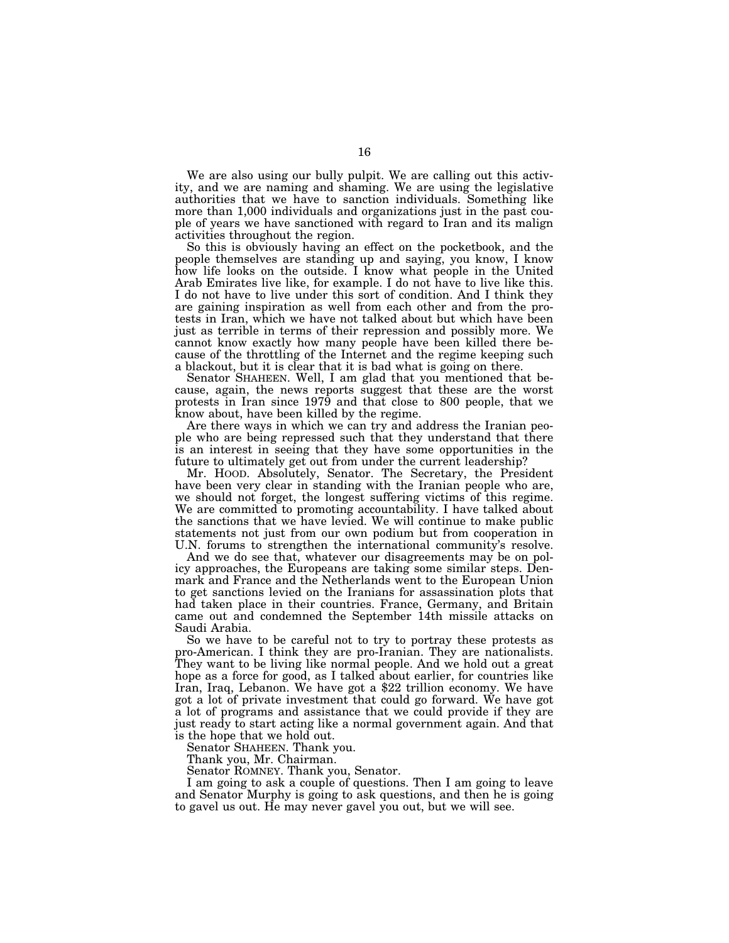We are also using our bully pulpit. We are calling out this activity, and we are naming and shaming. We are using the legislative authorities that we have to sanction individuals. Something like more than 1,000 individuals and organizations just in the past couple of years we have sanctioned with regard to Iran and its malign activities throughout the region.

So this is obviously having an effect on the pocketbook, and the people themselves are standing up and saying, you know, I know how life looks on the outside. I know what people in the United Arab Emirates live like, for example. I do not have to live like this. I do not have to live under this sort of condition. And I think they are gaining inspiration as well from each other and from the protests in Iran, which we have not talked about but which have been just as terrible in terms of their repression and possibly more. We cannot know exactly how many people have been killed there because of the throttling of the Internet and the regime keeping such a blackout, but it is clear that it is bad what is going on there.

Senator SHAHEEN. Well, I am glad that you mentioned that because, again, the news reports suggest that these are the worst protests in Iran since 1979 and that close to 800 people, that we know about, have been killed by the regime.

Are there ways in which we can try and address the Iranian people who are being repressed such that they understand that there is an interest in seeing that they have some opportunities in the future to ultimately get out from under the current leadership?

Mr. HOOD. Absolutely, Senator. The Secretary, the President have been very clear in standing with the Iranian people who are, we should not forget, the longest suffering victims of this regime. We are committed to promoting accountability. I have talked about the sanctions that we have levied. We will continue to make public statements not just from our own podium but from cooperation in U.N. forums to strengthen the international community's resolve.

And we do see that, whatever our disagreements may be on policy approaches, the Europeans are taking some similar steps. Denmark and France and the Netherlands went to the European Union to get sanctions levied on the Iranians for assassination plots that had taken place in their countries. France, Germany, and Britain came out and condemned the September 14th missile attacks on Saudi Arabia.

So we have to be careful not to try to portray these protests as pro-American. I think they are pro-Iranian. They are nationalists. They want to be living like normal people. And we hold out a great hope as a force for good, as I talked about earlier, for countries like Iran, Iraq, Lebanon. We have got a \$22 trillion economy. We have got a lot of private investment that could go forward. We have got a lot of programs and assistance that we could provide if they are just ready to start acting like a normal government again. And that is the hope that we hold out.

Senator SHAHEEN. Thank you.

Thank you, Mr. Chairman.

Senator ROMNEY. Thank you, Senator.

I am going to ask a couple of questions. Then I am going to leave and Senator Murphy is going to ask questions, and then he is going to gavel us out. He may never gavel you out, but we will see.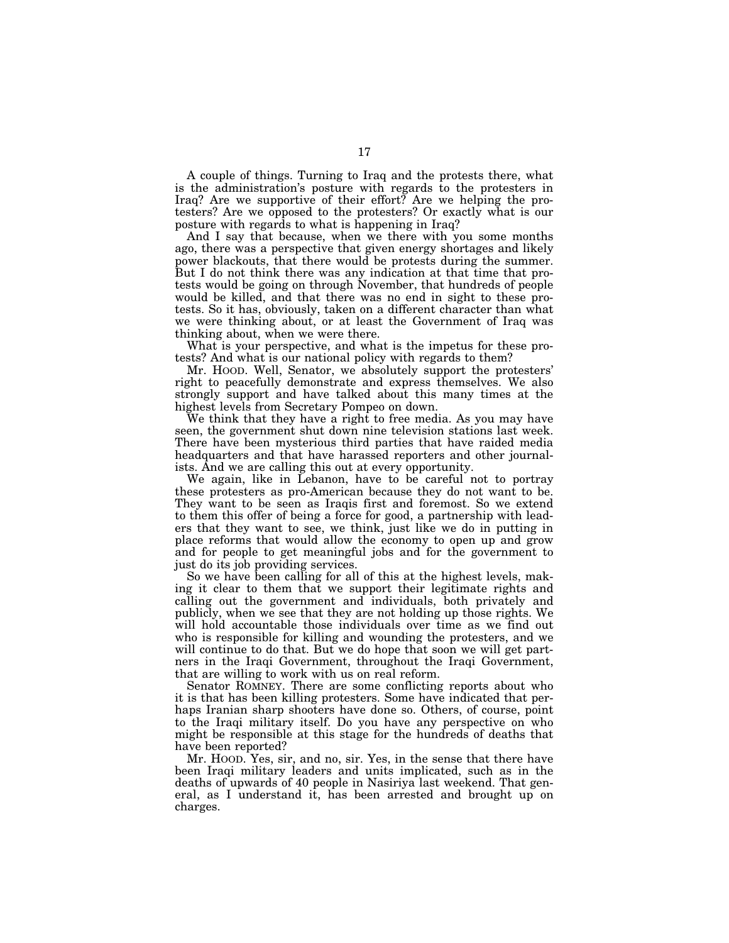A couple of things. Turning to Iraq and the protests there, what is the administration's posture with regards to the protesters in Iraq? Are we supportive of their effort? Are we helping the protesters? Are we opposed to the protesters? Or exactly what is our posture with regards to what is happening in Iraq?

And I say that because, when we there with you some months ago, there was a perspective that given energy shortages and likely power blackouts, that there would be protests during the summer. But I do not think there was any indication at that time that protests would be going on through November, that hundreds of people would be killed, and that there was no end in sight to these protests. So it has, obviously, taken on a different character than what we were thinking about, or at least the Government of Iraq was thinking about, when we were there.

What is your perspective, and what is the impetus for these protests? And what is our national policy with regards to them?

Mr. HOOD. Well, Senator, we absolutely support the protesters' right to peacefully demonstrate and express themselves. We also strongly support and have talked about this many times at the highest levels from Secretary Pompeo on down.

We think that they have a right to free media. As you may have seen, the government shut down nine television stations last week. There have been mysterious third parties that have raided media headquarters and that have harassed reporters and other journalists. And we are calling this out at every opportunity.

We again, like in Lebanon, have to be careful not to portray these protesters as pro-American because they do not want to be. They want to be seen as Iraqis first and foremost. So we extend to them this offer of being a force for good, a partnership with leaders that they want to see, we think, just like we do in putting in place reforms that would allow the economy to open up and grow and for people to get meaningful jobs and for the government to just do its job providing services.

So we have been calling for all of this at the highest levels, making it clear to them that we support their legitimate rights and calling out the government and individuals, both privately and publicly, when we see that they are not holding up those rights. We will hold accountable those individuals over time as we find out who is responsible for killing and wounding the protesters, and we will continue to do that. But we do hope that soon we will get partners in the Iraqi Government, throughout the Iraqi Government, that are willing to work with us on real reform.

Senator ROMNEY. There are some conflicting reports about who it is that has been killing protesters. Some have indicated that perhaps Iranian sharp shooters have done so. Others, of course, point to the Iraqi military itself. Do you have any perspective on who might be responsible at this stage for the hundreds of deaths that have been reported?

Mr. HOOD. Yes, sir, and no, sir. Yes, in the sense that there have been Iraqi military leaders and units implicated, such as in the deaths of upwards of 40 people in Nasiriya last weekend. That general, as I understand it, has been arrested and brought up on charges.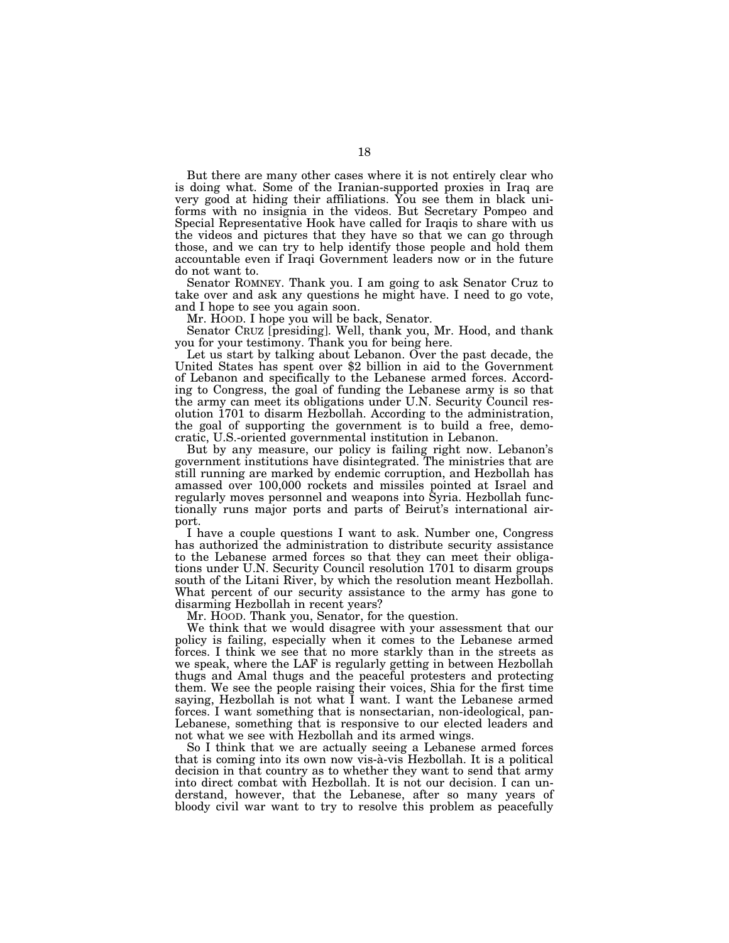But there are many other cases where it is not entirely clear who is doing what. Some of the Iranian-supported proxies in Iraq are very good at hiding their affiliations. You see them in black uniforms with no insignia in the videos. But Secretary Pompeo and Special Representative Hook have called for Iraqis to share with us the videos and pictures that they have so that we can go through those, and we can try to help identify those people and hold them accountable even if Iraqi Government leaders now or in the future do not want to.

Senator ROMNEY. Thank you. I am going to ask Senator Cruz to take over and ask any questions he might have. I need to go vote, and I hope to see you again soon.

Mr. HOOD. I hope you will be back, Senator.

Senator CRUZ [presiding]. Well, thank you, Mr. Hood, and thank you for your testimony. Thank you for being here.

Let us start by talking about Lebanon. Over the past decade, the United States has spent over \$2 billion in aid to the Government of Lebanon and specifically to the Lebanese armed forces. According to Congress, the goal of funding the Lebanese army is so that the army can meet its obligations under U.N. Security Council resolution 1701 to disarm Hezbollah. According to the administration, the goal of supporting the government is to build a free, democratic, U.S.-oriented governmental institution in Lebanon.

But by any measure, our policy is failing right now. Lebanon's government institutions have disintegrated. The ministries that are still running are marked by endemic corruption, and Hezbollah has amassed over 100,000 rockets and missiles pointed at Israel and regularly moves personnel and weapons into Syria. Hezbollah functionally runs major ports and parts of Beirut's international airport.

I have a couple questions I want to ask. Number one, Congress has authorized the administration to distribute security assistance to the Lebanese armed forces so that they can meet their obligations under U.N. Security Council resolution 1701 to disarm groups south of the Litani River, by which the resolution meant Hezbollah. What percent of our security assistance to the army has gone to disarming Hezbollah in recent years?

Mr. HOOD. Thank you, Senator, for the question.

We think that we would disagree with your assessment that our policy is failing, especially when it comes to the Lebanese armed forces. I think we see that no more starkly than in the streets as we speak, where the LAF is regularly getting in between Hezbollah thugs and Amal thugs and the peaceful protesters and protecting them. We see the people raising their voices, Shia for the first time saying, Hezbollah is not what I want. I want the Lebanese armed forces. I want something that is nonsectarian, non-ideological, pan-Lebanese, something that is responsive to our elected leaders and not what we see with Hezbollah and its armed wings.

So I think that we are actually seeing a Lebanese armed forces that is coming into its own now vis-a`-vis Hezbollah. It is a political decision in that country as to whether they want to send that army into direct combat with Hezbollah. It is not our decision. I can understand, however, that the Lebanese, after so many years of bloody civil war want to try to resolve this problem as peacefully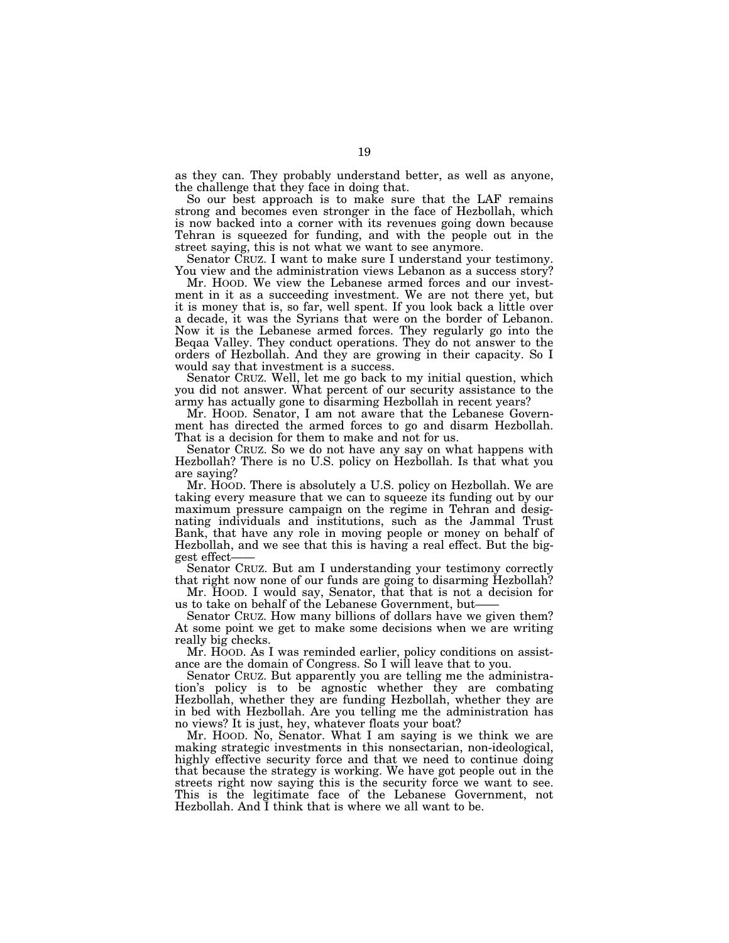as they can. They probably understand better, as well as anyone, the challenge that they face in doing that.

So our best approach is to make sure that the LAF remains strong and becomes even stronger in the face of Hezbollah, which is now backed into a corner with its revenues going down because Tehran is squeezed for funding, and with the people out in the street saying, this is not what we want to see anymore.

Senator CRUZ. I want to make sure I understand your testimony. You view and the administration views Lebanon as a success story?

Mr. HOOD. We view the Lebanese armed forces and our investment in it as a succeeding investment. We are not there yet, but it is money that is, so far, well spent. If you look back a little over a decade, it was the Syrians that were on the border of Lebanon. Now it is the Lebanese armed forces. They regularly go into the Beqaa Valley. They conduct operations. They do not answer to the orders of Hezbollah. And they are growing in their capacity. So I would say that investment is a success.

Senator CRUZ. Well, let me go back to my initial question, which you did not answer. What percent of our security assistance to the army has actually gone to disarming Hezbollah in recent years?

Mr. HOOD. Senator, I am not aware that the Lebanese Government has directed the armed forces to go and disarm Hezbollah. That is a decision for them to make and not for us.

Senator CRUZ. So we do not have any say on what happens with Hezbollah? There is no U.S. policy on Hezbollah. Is that what you are saying?

Mr. HOOD. There is absolutely a U.S. policy on Hezbollah. We are taking every measure that we can to squeeze its funding out by our maximum pressure campaign on the regime in Tehran and designating individuals and institutions, such as the Jammal Trust Bank, that have any role in moving people or money on behalf of Hezbollah, and we see that this is having a real effect. But the biggest effect——

Senator CRUZ. But am I understanding your testimony correctly that right now none of our funds are going to disarming Hezbollah?

Mr. HOOD. I would say, Senator, that that is not a decision for us to take on behalf of the Lebanese Government, but-

Senator CRUZ. How many billions of dollars have we given them? At some point we get to make some decisions when we are writing really big checks.

Mr. HOOD. As I was reminded earlier, policy conditions on assistance are the domain of Congress. So I will leave that to you.

Senator CRUZ. But apparently you are telling me the administration's policy is to be agnostic whether they are combating Hezbollah, whether they are funding Hezbollah, whether they are in bed with Hezbollah. Are you telling me the administration has no views? It is just, hey, whatever floats your boat?

Mr. HOOD. No, Senator. What I am saying is we think we are making strategic investments in this nonsectarian, non-ideological, highly effective security force and that we need to continue doing that because the strategy is working. We have got people out in the streets right now saying this is the security force we want to see. This is the legitimate face of the Lebanese Government, not Hezbollah. And I think that is where we all want to be.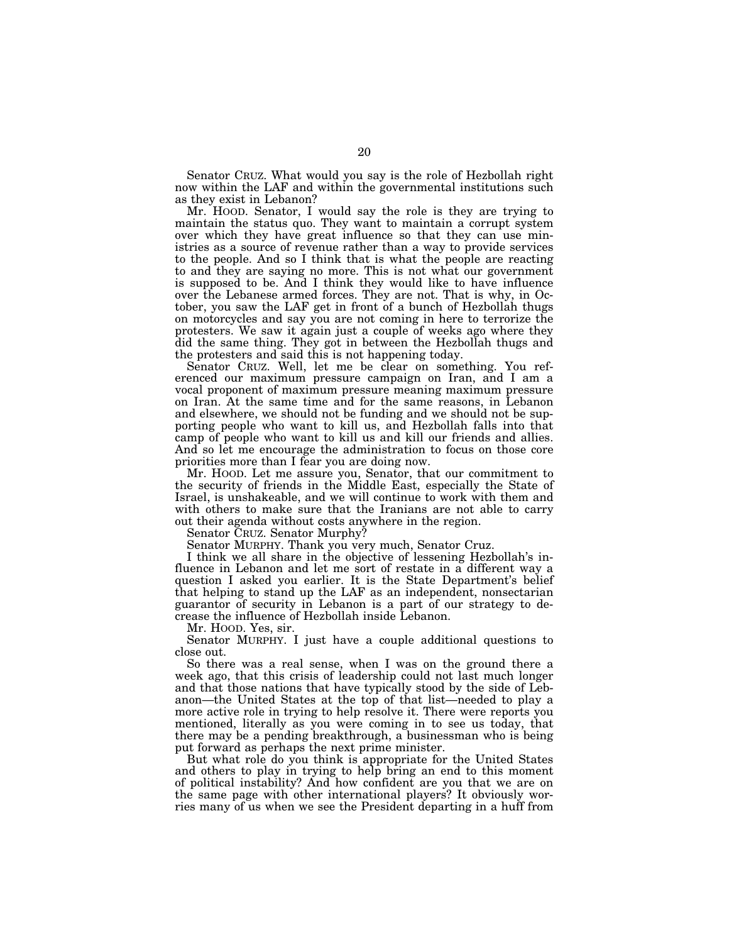Senator CRUZ. What would you say is the role of Hezbollah right now within the LAF and within the governmental institutions such as they exist in Lebanon?

Mr. HOOD. Senator, I would say the role is they are trying to maintain the status quo. They want to maintain a corrupt system over which they have great influence so that they can use ministries as a source of revenue rather than a way to provide services to the people. And so I think that is what the people are reacting to and they are saying no more. This is not what our government is supposed to be. And I think they would like to have influence over the Lebanese armed forces. They are not. That is why, in October, you saw the LAF get in front of a bunch of Hezbollah thugs on motorcycles and say you are not coming in here to terrorize the protesters. We saw it again just a couple of weeks ago where they did the same thing. They got in between the Hezbollah thugs and the protesters and said this is not happening today.

Senator CRUZ. Well, let me be clear on something. You referenced our maximum pressure campaign on Iran, and I am a vocal proponent of maximum pressure meaning maximum pressure on Iran. At the same time and for the same reasons, in Lebanon and elsewhere, we should not be funding and we should not be supporting people who want to kill us, and Hezbollah falls into that camp of people who want to kill us and kill our friends and allies. And so let me encourage the administration to focus on those core priorities more than I fear you are doing now.

Mr. HOOD. Let me assure you, Senator, that our commitment to the security of friends in the Middle East, especially the State of Israel, is unshakeable, and we will continue to work with them and with others to make sure that the Iranians are not able to carry out their agenda without costs anywhere in the region.

Senator CRUZ. Senator Murphy?

Senator MURPHY. Thank you very much, Senator Cruz.

I think we all share in the objective of lessening Hezbollah's influence in Lebanon and let me sort of restate in a different way a question I asked you earlier. It is the State Department's belief that helping to stand up the LAF as an independent, nonsectarian guarantor of security in Lebanon is a part of our strategy to decrease the influence of Hezbollah inside Lebanon.

Mr. HOOD. Yes, sir.

Senator MURPHY. I just have a couple additional questions to close out.

So there was a real sense, when I was on the ground there a week ago, that this crisis of leadership could not last much longer and that those nations that have typically stood by the side of Lebanon—the United States at the top of that list—needed to play a more active role in trying to help resolve it. There were reports you mentioned, literally as you were coming in to see us today, that there may be a pending breakthrough, a businessman who is being put forward as perhaps the next prime minister.

But what role do you think is appropriate for the United States and others to play in trying to help bring an end to this moment of political instability? And how confident are you that we are on the same page with other international players? It obviously worries many of us when we see the President departing in a huff from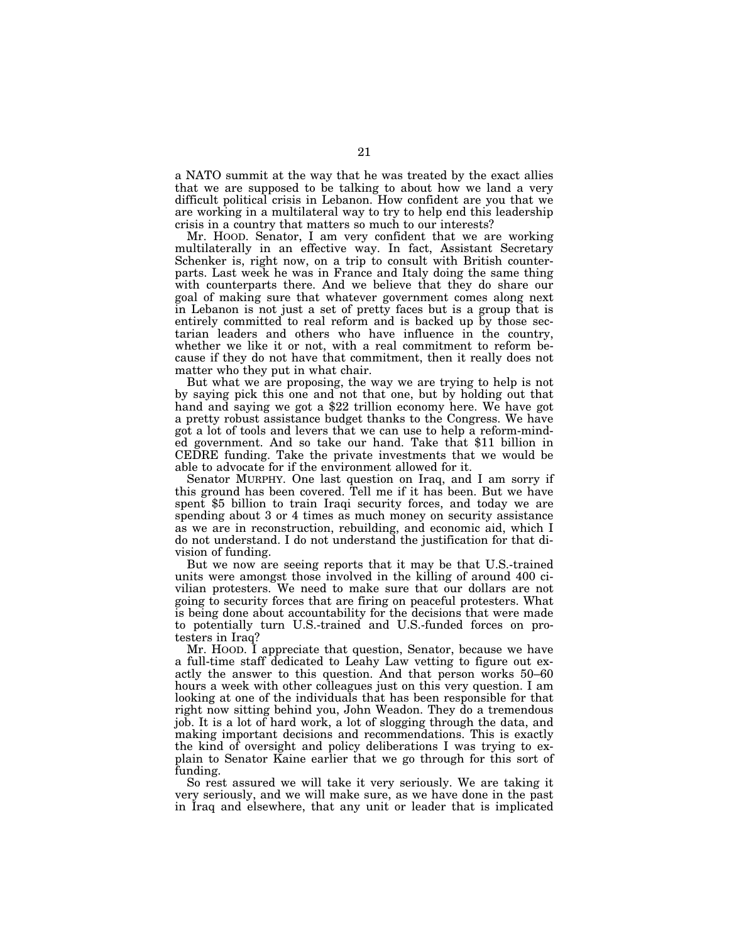a NATO summit at the way that he was treated by the exact allies that we are supposed to be talking to about how we land a very difficult political crisis in Lebanon. How confident are you that we are working in a multilateral way to try to help end this leadership crisis in a country that matters so much to our interests?

Mr. HOOD. Senator, I am very confident that we are working multilaterally in an effective way. In fact, Assistant Secretary Schenker is, right now, on a trip to consult with British counterparts. Last week he was in France and Italy doing the same thing with counterparts there. And we believe that they do share our goal of making sure that whatever government comes along next in Lebanon is not just a set of pretty faces but is a group that is entirely committed to real reform and is backed up by those sectarian leaders and others who have influence in the country, whether we like it or not, with a real commitment to reform because if they do not have that commitment, then it really does not matter who they put in what chair.

But what we are proposing, the way we are trying to help is not by saying pick this one and not that one, but by holding out that hand and saying we got a \$22 trillion economy here. We have got a pretty robust assistance budget thanks to the Congress. We have got a lot of tools and levers that we can use to help a reform-minded government. And so take our hand. Take that \$11 billion in CEDRE funding. Take the private investments that we would be able to advocate for if the environment allowed for it.

Senator MURPHY. One last question on Iraq, and I am sorry if this ground has been covered. Tell me if it has been. But we have spent \$5 billion to train Iraqi security forces, and today we are spending about 3 or 4 times as much money on security assistance as we are in reconstruction, rebuilding, and economic aid, which I do not understand. I do not understand the justification for that division of funding.

But we now are seeing reports that it may be that U.S.-trained units were amongst those involved in the killing of around 400 civilian protesters. We need to make sure that our dollars are not going to security forces that are firing on peaceful protesters. What is being done about accountability for the decisions that were made to potentially turn U.S.-trained and U.S.-funded forces on protesters in Iraq?

Mr. HOOD. I appreciate that question, Senator, because we have a full-time staff dedicated to Leahy Law vetting to figure out exactly the answer to this question. And that person works 50–60 hours a week with other colleagues just on this very question. I am looking at one of the individuals that has been responsible for that right now sitting behind you, John Weadon. They do a tremendous job. It is a lot of hard work, a lot of slogging through the data, and making important decisions and recommendations. This is exactly the kind of oversight and policy deliberations I was trying to explain to Senator Kaine earlier that we go through for this sort of funding.

So rest assured we will take it very seriously. We are taking it very seriously, and we will make sure, as we have done in the past in Iraq and elsewhere, that any unit or leader that is implicated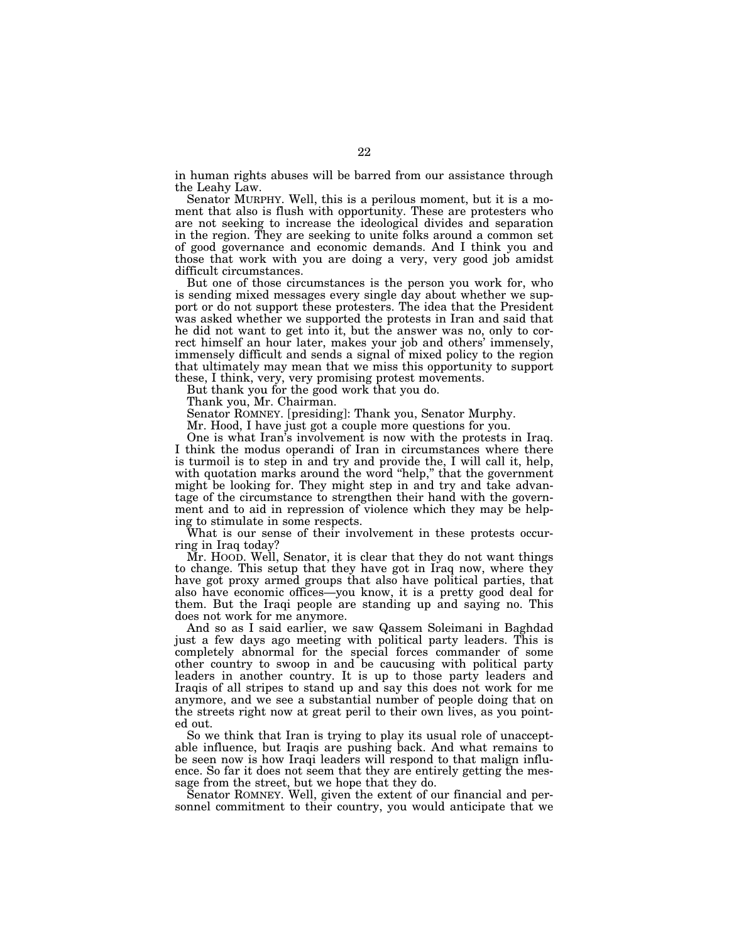in human rights abuses will be barred from our assistance through the Leahy Law.

Senator MURPHY. Well, this is a perilous moment, but it is a moment that also is flush with opportunity. These are protesters who are not seeking to increase the ideological divides and separation in the region. They are seeking to unite folks around a common set of good governance and economic demands. And I think you and those that work with you are doing a very, very good job amidst difficult circumstances.

But one of those circumstances is the person you work for, who is sending mixed messages every single day about whether we support or do not support these protesters. The idea that the President was asked whether we supported the protests in Iran and said that he did not want to get into it, but the answer was no, only to correct himself an hour later, makes your job and others' immensely, immensely difficult and sends a signal of mixed policy to the region that ultimately may mean that we miss this opportunity to support these, I think, very, very promising protest movements.

But thank you for the good work that you do.

Thank you, Mr. Chairman.

Senator ROMNEY. [presiding]: Thank you, Senator Murphy.

Mr. Hood, I have just got a couple more questions for you.

One is what Iran's involvement is now with the protests in Iraq. I think the modus operandi of Iran in circumstances where there is turmoil is to step in and try and provide the, I will call it, help, with quotation marks around the word "help," that the government might be looking for. They might step in and try and take advantage of the circumstance to strengthen their hand with the government and to aid in repression of violence which they may be helping to stimulate in some respects.

What is our sense of their involvement in these protests occurring in Iraq today?

Mr. HOOD. Well, Senator, it is clear that they do not want things to change. This setup that they have got in Iraq now, where they have got proxy armed groups that also have political parties, that also have economic offices—you know, it is a pretty good deal for them. But the Iraqi people are standing up and saying no. This does not work for me anymore.

And so as I said earlier, we saw Qassem Soleimani in Baghdad just a few days ago meeting with political party leaders. This is completely abnormal for the special forces commander of some other country to swoop in and be caucusing with political party leaders in another country. It is up to those party leaders and Iraqis of all stripes to stand up and say this does not work for me anymore, and we see a substantial number of people doing that on the streets right now at great peril to their own lives, as you pointed out.

So we think that Iran is trying to play its usual role of unacceptable influence, but Iraqis are pushing back. And what remains to be seen now is how Iraqi leaders will respond to that malign influence. So far it does not seem that they are entirely getting the message from the street, but we hope that they do.

Senator ROMNEY. Well, given the extent of our financial and personnel commitment to their country, you would anticipate that we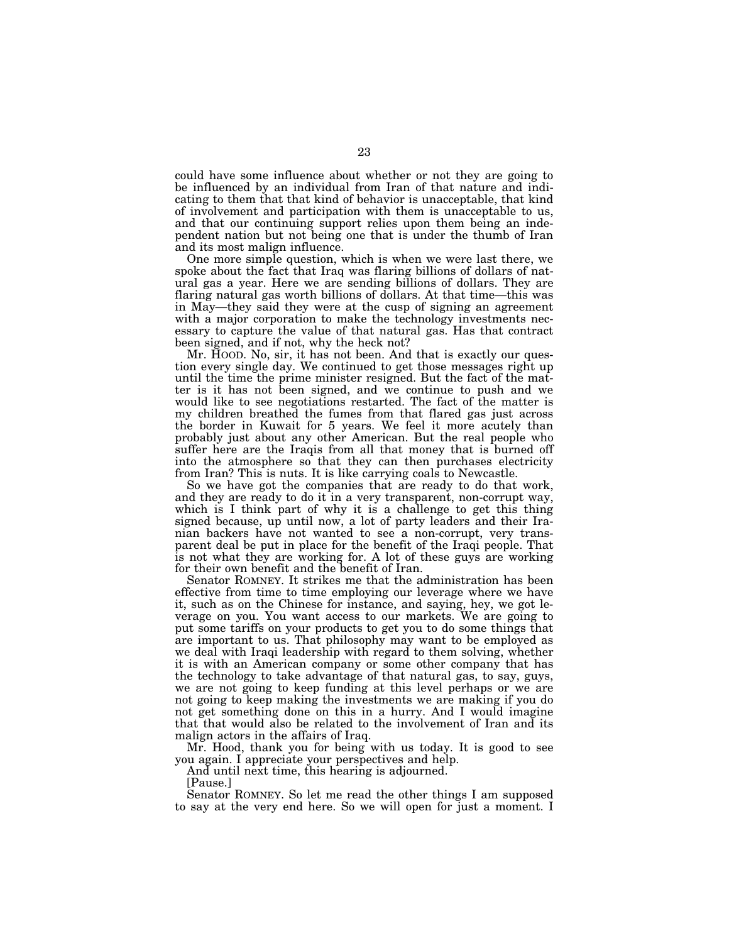could have some influence about whether or not they are going to be influenced by an individual from Iran of that nature and indicating to them that that kind of behavior is unacceptable, that kind of involvement and participation with them is unacceptable to us, and that our continuing support relies upon them being an independent nation but not being one that is under the thumb of Iran and its most malign influence.

One more simple question, which is when we were last there, we spoke about the fact that Iraq was flaring billions of dollars of natural gas a year. Here we are sending billions of dollars. They are flaring natural gas worth billions of dollars. At that time—this was in May—they said they were at the cusp of signing an agreement with a major corporation to make the technology investments necessary to capture the value of that natural gas. Has that contract been signed, and if not, why the heck not?

Mr. HOOD. No, sir, it has not been. And that is exactly our question every single day. We continued to get those messages right up until the time the prime minister resigned. But the fact of the matter is it has not been signed, and we continue to push and we would like to see negotiations restarted. The fact of the matter is my children breathed the fumes from that flared gas just across the border in Kuwait for 5 years. We feel it more acutely than probably just about any other American. But the real people who suffer here are the Iraqis from all that money that is burned off into the atmosphere so that they can then purchases electricity from Iran? This is nuts. It is like carrying coals to Newcastle.

So we have got the companies that are ready to do that work, and they are ready to do it in a very transparent, non-corrupt way, which is I think part of why it is a challenge to get this thing signed because, up until now, a lot of party leaders and their Iranian backers have not wanted to see a non-corrupt, very transparent deal be put in place for the benefit of the Iraqi people. That is not what they are working for. A lot of these guys are working for their own benefit and the benefit of Iran.

Senator ROMNEY. It strikes me that the administration has been effective from time to time employing our leverage where we have it, such as on the Chinese for instance, and saying, hey, we got leverage on you. You want access to our markets. We are going to put some tariffs on your products to get you to do some things that are important to us. That philosophy may want to be employed as we deal with Iraqi leadership with regard to them solving, whether it is with an American company or some other company that has the technology to take advantage of that natural gas, to say, guys, we are not going to keep funding at this level perhaps or we are not going to keep making the investments we are making if you do not get something done on this in a hurry. And I would imagine that that would also be related to the involvement of Iran and its malign actors in the affairs of Iraq.

Mr. Hood, thank you for being with us today. It is good to see you again. I appreciate your perspectives and help.

And until next time, this hearing is adjourned.

[Pause.]

Senator ROMNEY. So let me read the other things I am supposed to say at the very end here. So we will open for just a moment. I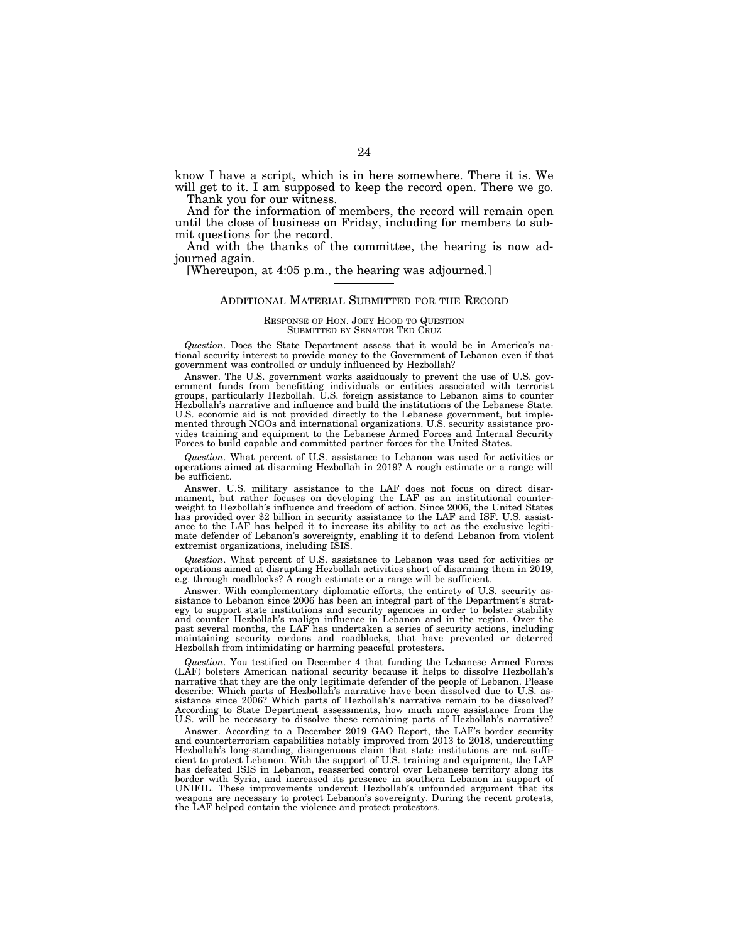know I have a script, which is in here somewhere. There it is. We will get to it. I am supposed to keep the record open. There we go. Thank you for our witness.

And for the information of members, the record will remain open until the close of business on Friday, including for members to submit questions for the record.

And with the thanks of the committee, the hearing is now adjourned again.

#### [Whereupon, at 4:05 p.m., the hearing was adjourned.]

#### ADDITIONAL MATERIAL SUBMITTED FOR THE RECORD

#### RESPONSE OF HON. JOEY HOOD TO QUESTION SUBMITTED BY SENATOR TED CRUZ

*Question*. Does the State Department assess that it would be in America's national security interest to provide money to the Government of Lebanon even if that government was controlled or unduly influenced by Hezbollah?

Answer. The U.S. government works assiduously to prevent the use of U.S. government funds from benefitting individuals or entities associated with terrorist groups, particularly Hezbollah. U.S. foreign assistance to Lebanon aims to counter Hezbollah's narrative and influence and build the institutions of the Lebanese State. U.S. economic aid is not provided directly to the Lebanese government, but implemented through NGOs and international organizations. U.S. security assistance provides training and equipment to the Lebanese Armed Forces and Internal Security Forces to build capable and committed partner forces for the United States.

*Question*. What percent of U.S. assistance to Lebanon was used for activities or operations aimed at disarming Hezbollah in 2019? A rough estimate or a range will be sufficient.

Answer. U.S. military assistance to the LAF does not focus on direct disarmament, but rather focuses on developing the LAF as an institutional counterweight to Hezbollah's influence and freedom of action. Since 2006, the United States has provided over \$2 billion in security assistance to the LAF and ISF. U.S. assistance to the LAF has helped it to increase its ability to act as the exclusive legitimate defender of Lebanon's sovereignty, enabling it to defend Lebanon from violent extremist organizations, including ISIS.

*Question*. What percent of U.S. assistance to Lebanon was used for activities or operations aimed at disrupting Hezbollah activities short of disarming them in 2019, e.g. through roadblocks? A rough estimate or a range will be sufficient.

Answer. With complementary diplomatic efforts, the entirety of U.S. security assistance to Lebanon since 2006 has been an integral part of the Department's strategy to support state institutions and security agencies in order to bolster stability and counter Hezbollah's malign influence in Lebanon and in the region. Over the past several months, the LAF has undertaken a series of security actions, including maintaining security cordons and roadblocks, that have prevented or deterred Hezbollah from intimidating or harming peaceful protesters.

*Question*. You testified on December 4 that funding the Lebanese Armed Forces (LAF) bolsters American national security because it helps to dissolve Hezbollah's narrative that they are the only legitimate defender of the people of Lebanon. Please describe: Which parts of Hezbollah's narrative have been dissolved due to U.S. assistance since 2006? Which parts of Hezbollah's narrative remain to be dissolved? According to State Department assessments, how much more assistance from the U.S. will be necessary to dissolve these remaining parts of Hezbollah's narrative?

Answer. According to a December 2019 GAO Report, the LAF's border security and counterterrorism capabilities notably improved from 2013 to 2018, undercutting Hezbollah's long-standing, disingenuous claim that state institutions are not sufficient to protect Lebanon. With the support of U.S. training and equipment, the LAF has defeated ISIS in Lebanon, reasserted control over Lebanese territory along its border with Syria, and increased its presence in southern Lebanon in support of UNIFIL. These improvements undercut Hezbollah's unfounded argument that its weapons are necessary to protect Lebanon's sovereignty. During the recent protests, the LAF helped contain the violence and protect protestors.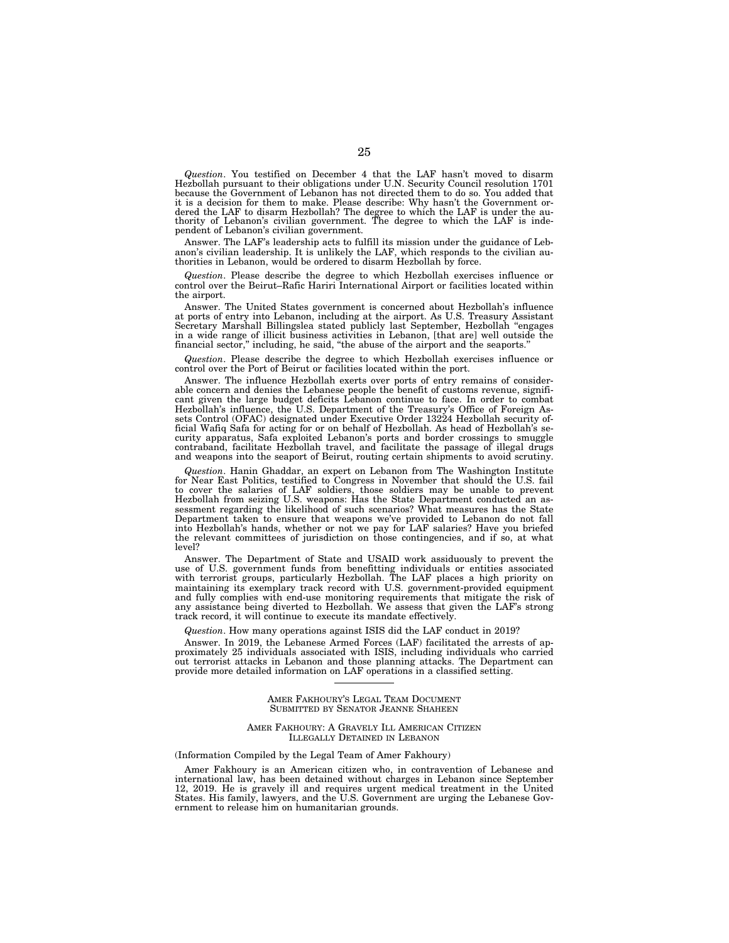*Question*. You testified on December 4 that the LAF hasn't moved to disarm Hezbollah pursuant to their obligations under U.N. Security Council resolution 1701 because the Government of Lebanon has not directed them to do so. You added that it is a decision for them to make. Please describe: Why hasn't the Government ordered the LAF to disarm Hezbollah? The degree to which the LAF is under the authority of Lebanon's civilian government. The degree to which th pendent of Lebanon's civilian government.

Answer. The LAF's leadership acts to fulfill its mission under the guidance of Lebanon's civilian leadership. It is unlikely the LAF, which responds to the civilian authorities in Lebanon, would be ordered to disarm Hezbollah by force.

*Question*. Please describe the degree to which Hezbollah exercises influence or control over the Beirut–Rafic Hariri International Airport or facilities located within the airport.

Answer. The United States government is concerned about Hezbollah's influence at ports of entry into Lebanon, including at the airport. As U.S. Treasury Assistant Secretary Marshall Billingslea stated publicly last September, Hezbollah ''engages in a wide range of illicit business activities in Lebanon, [that are] well outside the financial sector," including, he said, "the abuse of the airport and the seaports.

*Question*. Please describe the degree to which Hezbollah exercises influence or control over the Port of Beirut or facilities located within the port.

Answer. The influence Hezbollah exerts over ports of entry remains of considerable concern and denies the Lebanese people the benefit of customs revenue, significant given the large budget deficits Lebanon continue to face. In order to combat Hezbollah's influence, the U.S. Department of the Treasury's Office of Foreign Assets Control (OFAC) designated under Executive Order 13224 Hezbollah security official Wafiq Safa for acting for or on behalf of Hezbollah. As head of Hezbollah's security apparatus, Safa exploited Lebanon's ports and border crossings to smuggle contraband, facilitate Hezbollah travel, and facilitate the passage of illegal drugs and weapons into the seaport of Beirut, routing certain shipments to avoid scrutiny.

*Question*. Hanin Ghaddar, an expert on Lebanon from The Washington Institute for Near East Politics, testified to Congress in November that should the U.S. fail to cover the salaries of LAF soldiers, those soldiers may be unable to prevent Hezbollah from seizing U.S. weapons: Has the State Department conducted an assessment regarding the likelihood of such scenarios? What measures has the State Department taken to ensure that weapons we've provided to Lebanon do not fall into Hezbollah's hands, whether or not we pay for LAF salaries? Have you briefed the relevant committees of jurisdiction on those contingencies, and if so, at what level?

Answer. The Department of State and USAID work assiduously to prevent the use of U.S. government funds from benefitting individuals or entities associated with terrorist groups, particularly Hezbollah. The LAF places a high priority on maintaining its exemplary track record with U.S. government-provided equipment and fully complies with end-use monitoring requirements that mitigate the risk of any assistance being diverted to Hezbollah. We assess that given the LAF's strong track record, it will continue to execute its mandate effectively.

*Question*. How many operations against ISIS did the LAF conduct in 2019?

Answer. In 2019, the Lebanese Armed Forces (LAF) facilitated the arrests of approximately 25 individuals associated with ISIS, including individuals who carried out terrorist attacks in Lebanon and those planning attacks. The Department can provide more detailed information on LAF operations in a classified setting.

> AMER FAKHOURY'S LEGAL TEAM DOCUMENT SUBMITTED BY SENATOR JEANNE SHAHEEN

#### AMER FAKHOURY: A GRAVELY ILL AMERICAN CITIZEN ILLEGALLY DETAINED IN LEBANON

#### (Information Compiled by the Legal Team of Amer Fakhoury)

Amer Fakhoury is an American citizen who, in contravention of Lebanese and international law, has been detained without charges in Lebanon since September 12, 2019. He is gravely ill and requires urgent medical treatment in the United States. His family, lawyers, and the U.S. Government are urging the Lebanese Government to release him on humanitarian grounds.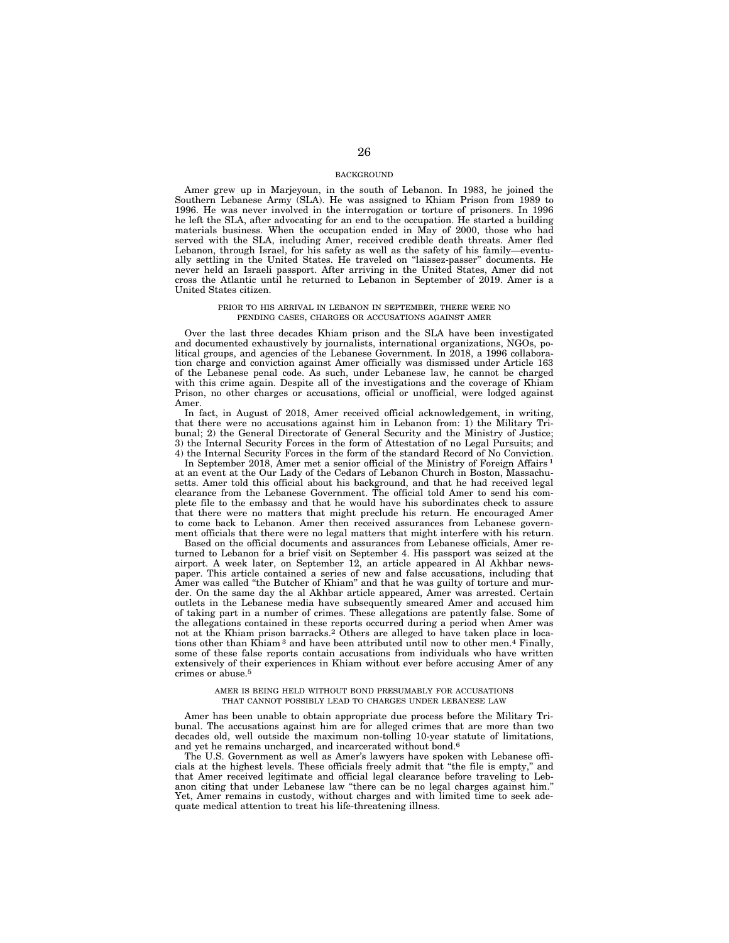#### **BACKGROUND**

Amer grew up in Marjeyoun, in the south of Lebanon. In 1983, he joined the Southern Lebanese Army (SLA). He was assigned to Khiam Prison from 1989 to 1996. He was never involved in the interrogation or torture of prisoners. In 1996 he left the SLA, after advocating for an end to the occupation. He started a building materials business. When the occupation ended in May of 2000, those who had served with the SLA, including Amer, received credible death threats. Amer fled Lebanon, through Israel, for his safety as well as the safety of his family—eventually settling in the United States. He traveled on ''laissez-passer'' documents. He never held an Israeli passport. After arriving in the United States, Amer did not cross the Atlantic until he returned to Lebanon in September of 2019. Amer is a United States citizen.

#### PRIOR TO HIS ARRIVAL IN LEBANON IN SEPTEMBER, THERE WERE NO PENDING CASES, CHARGES OR ACCUSATIONS AGAINST AMER

Over the last three decades Khiam prison and the SLA have been investigated and documented exhaustively by journalists, international organizations, NGOs, political groups, and agencies of the Lebanese Government. In 2018, a 1996 collaboration charge and conviction against Amer officially was dismissed under Article 163 of the Lebanese penal code. As such, under Lebanese law, he cannot be charged with this crime again. Despite all of the investigations and the coverage of Khiam Prison, no other charges or accusations, official or unofficial, were lodged against Amer.

In fact, in August of 2018, Amer received official acknowledgement, in writing, that there were no accusations against him in Lebanon from:  $\tilde{1}$ ) the Military Tribunal; 2) the General Directorate of General Security and the Ministry of Justice; 3) the Internal Security Forces in the form of Attestation of no Legal Pursuits; and 4) the Internal Security Forces in the form of the standard Record of No Conviction.

In September 2018, Amer met a senior official of the Ministry of Foreign Affairs 1 at an event at the Our Lady of the Cedars of Lebanon Church in Boston, Massachusetts. Amer told this official about his background, and that he had received legal clearance from the Lebanese Government. The official told Amer to send his complete file to the embassy and that he would have his subordinates check to assure that there were no matters that might preclude his return. He encouraged Amer to come back to Lebanon. Amer then received assurances from Lebanese government officials that there were no legal matters that might interfere with his return.

Based on the official documents and assurances from Lebanese officials, Amer returned to Lebanon for a brief visit on September 4. His passport was seized at the airport. A week later, on September 12, an article appeared in Al Akhbar newspaper. This article contained a series of new and false accusations, including that Amer was called "the Butcher of Khiam" and that he was guilty of torture and murder. On the same day the al Akhbar article appeared, Amer was arrested. Certain outlets in the Lebanese media have subsequently smeared Amer and accused him of taking part in a number of crimes. These allegations are patently false. Some of the allegations contained in these reports occurred during a period when Amer was not at the Khiam prison barracks.2 Others are alleged to have taken place in locations other than Khiam<sup>3</sup> and have been attributed until now to other men.<sup>4</sup> Finally, some of these false reports contain accusations from individuals who have written extensively of their experiences in Khiam without ever before accusing Amer of any crimes or abuse.5

#### AMER IS BEING HELD WITHOUT BOND PRESUMABLY FOR ACCUSATIONS THAT CANNOT POSSIBLY LEAD TO CHARGES UNDER LEBANESE LAW

Amer has been unable to obtain appropriate due process before the Military Tribunal. The accusations against him are for alleged crimes that are more than two decades old, well outside the maximum non-tolling 10-year statute of limitations, and yet he remains uncharged, and incarcerated without bond.6

The U.S. Government as well as Amer's lawyers have spoken with Lebanese officials at the highest levels. These officials freely admit that ''the file is empty,'' and that Amer received legitimate and official legal clearance before traveling to Lebanon citing that under Lebanese law ''there can be no legal charges against him.'' Yet, Amer remains in custody, without charges and with limited time to seek adequate medical attention to treat his life-threatening illness.